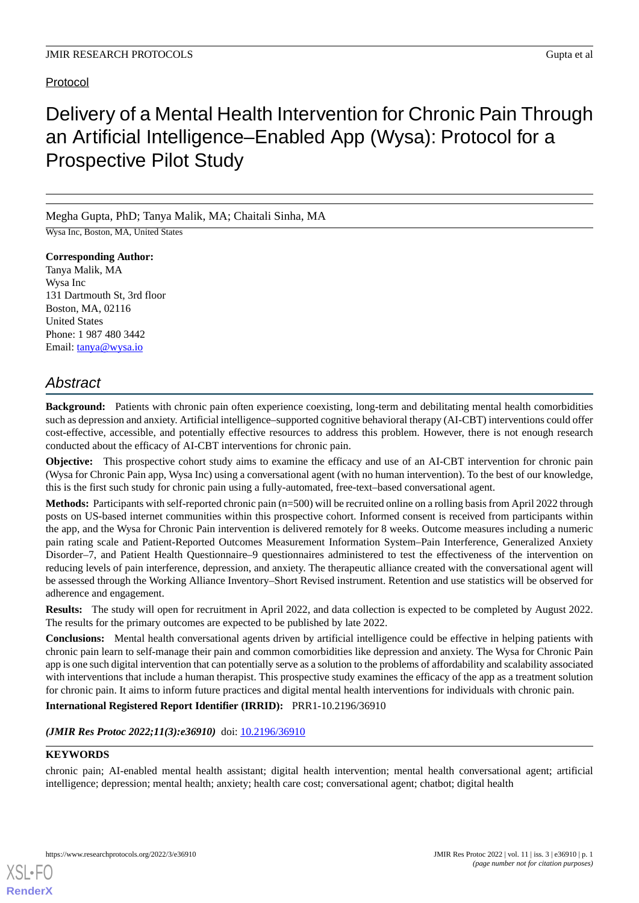# Protocol

# Delivery of a Mental Health Intervention for Chronic Pain Through an Artificial Intelligence–Enabled App (Wysa): Protocol for a Prospective Pilot Study

Megha Gupta, PhD; Tanya Malik, MA; Chaitali Sinha, MA

Wysa Inc, Boston, MA, United States

**Corresponding Author:** Tanya Malik, MA Wysa Inc 131 Dartmouth St, 3rd floor Boston, MA, 02116 United States Phone: 1 987 480 3442 Email: [tanya@wysa.io](mailto:tanya@wysa.io)

# *Abstract*

**Background:** Patients with chronic pain often experience coexisting, long-term and debilitating mental health comorbidities such as depression and anxiety. Artificial intelligence–supported cognitive behavioral therapy (AI-CBT) interventions could offer cost-effective, accessible, and potentially effective resources to address this problem. However, there is not enough research conducted about the efficacy of AI-CBT interventions for chronic pain.

**Objective:** This prospective cohort study aims to examine the efficacy and use of an AI-CBT intervention for chronic pain (Wysa for Chronic Pain app, Wysa Inc) using a conversational agent (with no human intervention). To the best of our knowledge, this is the first such study for chronic pain using a fully-automated, free-text–based conversational agent.

**Methods:** Participants with self-reported chronic pain (n=500) will be recruited online on a rolling basis from April 2022 through posts on US-based internet communities within this prospective cohort. Informed consent is received from participants within the app, and the Wysa for Chronic Pain intervention is delivered remotely for 8 weeks. Outcome measures including a numeric pain rating scale and Patient-Reported Outcomes Measurement Information System–Pain Interference, Generalized Anxiety Disorder–7, and Patient Health Questionnaire–9 questionnaires administered to test the effectiveness of the intervention on reducing levels of pain interference, depression, and anxiety. The therapeutic alliance created with the conversational agent will be assessed through the Working Alliance Inventory–Short Revised instrument. Retention and use statistics will be observed for adherence and engagement.

**Results:** The study will open for recruitment in April 2022, and data collection is expected to be completed by August 2022. The results for the primary outcomes are expected to be published by late 2022.

**Conclusions:** Mental health conversational agents driven by artificial intelligence could be effective in helping patients with chronic pain learn to self-manage their pain and common comorbidities like depression and anxiety. The Wysa for Chronic Pain app is one such digital intervention that can potentially serve as a solution to the problems of affordability and scalability associated with interventions that include a human therapist. This prospective study examines the efficacy of the app as a treatment solution for chronic pain. It aims to inform future practices and digital mental health interventions for individuals with chronic pain.

**International Registered Report Identifier (IRRID):** PRR1-10.2196/36910

(JMIR Res Protoc 2022;11(3):e36910) doi: [10.2196/36910](http://dx.doi.org/10.2196/36910)

### **KEYWORDS**

[XSL](http://www.w3.org/Style/XSL)•FO **[RenderX](http://www.renderx.com/)**

chronic pain; AI-enabled mental health assistant; digital health intervention; mental health conversational agent; artificial intelligence; depression; mental health; anxiety; health care cost; conversational agent; chatbot; digital health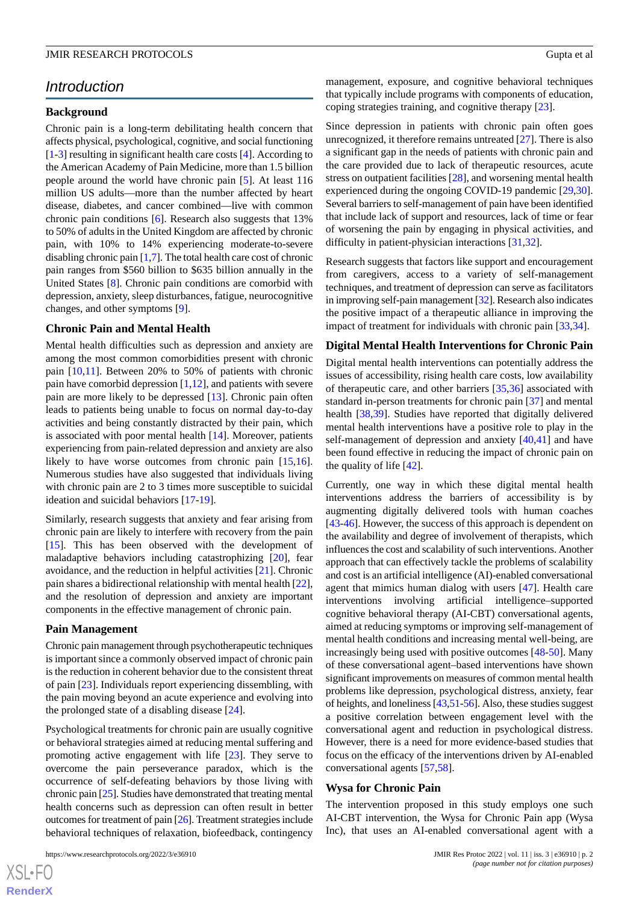# *Introduction*

#### **Background**

Chronic pain is a long-term debilitating health concern that affects physical, psychological, cognitive, and social functioning [[1](#page-8-0)[-3](#page-8-1)] resulting in significant health care costs [[4\]](#page-8-2). According to the American Academy of Pain Medicine, more than 1.5 billion people around the world have chronic pain [[5\]](#page-8-3). At least 116 million US adults—more than the number affected by heart disease, diabetes, and cancer combined—live with common chronic pain conditions [\[6\]](#page-8-4). Research also suggests that 13% to 50% of adults in the United Kingdom are affected by chronic pain, with 10% to 14% experiencing moderate-to-severe disabling chronic pain [[1,](#page-8-0)[7](#page-8-5)]. The total health care cost of chronic pain ranges from \$560 billion to \$635 billion annually in the United States [\[8](#page-8-6)]. Chronic pain conditions are comorbid with depression, anxiety, sleep disturbances, fatigue, neurocognitive changes, and other symptoms [[9\]](#page-8-7).

#### **Chronic Pain and Mental Health**

Mental health difficulties such as depression and anxiety are among the most common comorbidities present with chronic pain [[10](#page-8-8)[,11](#page-8-9)]. Between 20% to 50% of patients with chronic pain have comorbid depression  $[1,12]$  $[1,12]$  $[1,12]$ , and patients with severe pain are more likely to be depressed [[13\]](#page-8-11). Chronic pain often leads to patients being unable to focus on normal day-to-day activities and being constantly distracted by their pain, which is associated with poor mental health [[14\]](#page-8-12). Moreover, patients experiencing from pain-related depression and anxiety are also likely to have worse outcomes from chronic pain [\[15](#page-8-13),[16\]](#page-8-14). Numerous studies have also suggested that individuals living with chronic pain are 2 to 3 times more susceptible to suicidal ideation and suicidal behaviors [\[17](#page-8-15)-[19\]](#page-8-16).

Similarly, research suggests that anxiety and fear arising from chronic pain are likely to interfere with recovery from the pain [[15\]](#page-8-13). This has been observed with the development of maladaptive behaviors including catastrophizing [[20\]](#page-8-17), fear avoidance, and the reduction in helpful activities [\[21](#page-8-18)]. Chronic pain shares a bidirectional relationship with mental health [[22\]](#page-8-19), and the resolution of depression and anxiety are important components in the effective management of chronic pain.

#### **Pain Management**

Chronic pain management through psychotherapeutic techniques is important since a commonly observed impact of chronic pain is the reduction in coherent behavior due to the consistent threat of pain [[23\]](#page-9-0). Individuals report experiencing dissembling, with the pain moving beyond an acute experience and evolving into the prolonged state of a disabling disease [[24\]](#page-9-1).

Psychological treatments for chronic pain are usually cognitive or behavioral strategies aimed at reducing mental suffering and promoting active engagement with life [\[23](#page-9-0)]. They serve to overcome the pain perseverance paradox, which is the occurrence of self-defeating behaviors by those living with chronic pain [\[25](#page-9-2)]. Studies have demonstrated that treating mental health concerns such as depression can often result in better outcomes for treatment of pain [[26](#page-9-3)]. Treatment strategies include behavioral techniques of relaxation, biofeedback, contingency

management, exposure, and cognitive behavioral techniques that typically include programs with components of education, coping strategies training, and cognitive therapy [[23\]](#page-9-0).

Since depression in patients with chronic pain often goes unrecognized, it therefore remains untreated [\[27](#page-9-4)]. There is also a significant gap in the needs of patients with chronic pain and the care provided due to lack of therapeutic resources, acute stress on outpatient facilities [\[28](#page-9-5)], and worsening mental health experienced during the ongoing COVID-19 pandemic [\[29](#page-9-6),[30\]](#page-9-7). Several barriers to self-management of pain have been identified that include lack of support and resources, lack of time or fear of worsening the pain by engaging in physical activities, and difficulty in patient-physician interactions [\[31](#page-9-8),[32\]](#page-9-9).

Research suggests that factors like support and encouragement from caregivers, access to a variety of self-management techniques, and treatment of depression can serve as facilitators in improving self-pain management [\[32\]](#page-9-9). Research also indicates the positive impact of a therapeutic alliance in improving the impact of treatment for individuals with chronic pain [\[33](#page-9-10),[34\]](#page-9-11).

#### **Digital Mental Health Interventions for Chronic Pain**

Digital mental health interventions can potentially address the issues of accessibility, rising health care costs, low availability of therapeutic care, and other barriers [\[35](#page-9-12),[36\]](#page-9-13) associated with standard in-person treatments for chronic pain [\[37](#page-9-14)] and mental health [\[38](#page-9-15),[39\]](#page-9-16). Studies have reported that digitally delivered mental health interventions have a positive role to play in the self-management of depression and anxiety [\[40](#page-9-17),[41\]](#page-9-18) and have been found effective in reducing the impact of chronic pain on the quality of life [[42\]](#page-9-19).

Currently, one way in which these digital mental health interventions address the barriers of accessibility is by augmenting digitally delivered tools with human coaches [[43](#page-9-20)[-46](#page-10-0)]. However, the success of this approach is dependent on the availability and degree of involvement of therapists, which influences the cost and scalability of such interventions. Another approach that can effectively tackle the problems of scalability and cost is an artificial intelligence (AI)-enabled conversational agent that mimics human dialog with users [[47\]](#page-10-1). Health care interventions involving artificial intelligence–supported cognitive behavioral therapy (AI-CBT) conversational agents, aimed at reducing symptoms or improving self-management of mental health conditions and increasing mental well-being, are increasingly being used with positive outcomes [\[48](#page-10-2)[-50](#page-10-3)]. Many of these conversational agent–based interventions have shown significant improvements on measures of common mental health problems like depression, psychological distress, anxiety, fear of heights, and loneliness [[43](#page-9-20),[51-](#page-10-4)[56\]](#page-10-5). Also, these studies suggest a positive correlation between engagement level with the conversational agent and reduction in psychological distress. However, there is a need for more evidence-based studies that focus on the efficacy of the interventions driven by AI-enabled conversational agents [\[57](#page-10-6),[58\]](#page-10-7).

#### **Wysa for Chronic Pain**

The intervention proposed in this study employs one such AI-CBT intervention, the Wysa for Chronic Pain app (Wysa Inc), that uses an AI-enabled conversational agent with a

 $XSJ \cdot F$ **[RenderX](http://www.renderx.com/)**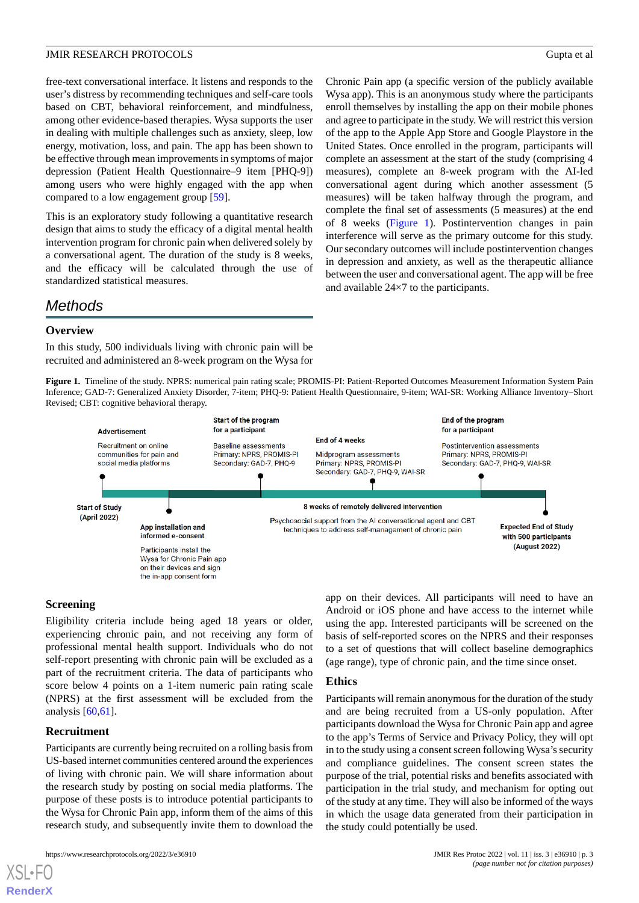free-text conversational interface. It listens and responds to the user's distress by recommending techniques and self-care tools based on CBT, behavioral reinforcement, and mindfulness, among other evidence-based therapies. Wysa supports the user in dealing with multiple challenges such as anxiety, sleep, low energy, motivation, loss, and pain. The app has been shown to be effective through mean improvements in symptoms of major depression (Patient Health Questionnaire–9 item [PHQ-9]) among users who were highly engaged with the app when compared to a low engagement group [[59\]](#page-10-8).

This is an exploratory study following a quantitative research design that aims to study the efficacy of a digital mental health intervention program for chronic pain when delivered solely by a conversational agent. The duration of the study is 8 weeks, and the efficacy will be calculated through the use of standardized statistical measures.

Chronic Pain app (a specific version of the publicly available Wysa app). This is an anonymous study where the participants enroll themselves by installing the app on their mobile phones and agree to participate in the study. We will restrict this version of the app to the Apple App Store and Google Playstore in the United States. Once enrolled in the program, participants will complete an assessment at the start of the study (comprising 4 measures), complete an 8-week program with the AI-led conversational agent during which another assessment (5 measures) will be taken halfway through the program, and complete the final set of assessments (5 measures) at the end of 8 weeks [\(Figure 1](#page-2-0)). Postintervention changes in pain interference will serve as the primary outcome for this study. Our secondary outcomes will include postintervention changes in depression and anxiety, as well as the therapeutic alliance between the user and conversational agent. The app will be free and available 24×7 to the participants.

# *Methods*

#### **Overview**

<span id="page-2-0"></span>In this study, 500 individuals living with chronic pain will be recruited and administered an 8-week program on the Wysa for

**Figure 1.** Timeline of the study. NPRS: numerical pain rating scale; PROMIS-PI: Patient-Reported Outcomes Measurement Information System Pain Inference; GAD-7: Generalized Anxiety Disorder, 7-item; PHQ-9: Patient Health Questionnaire, 9-item; WAI-SR: Working Alliance Inventory–Short Revised; CBT: cognitive behavioral therapy.



### **Screening**

Eligibility criteria include being aged 18 years or older, experiencing chronic pain, and not receiving any form of professional mental health support. Individuals who do not self-report presenting with chronic pain will be excluded as a part of the recruitment criteria. The data of participants who score below 4 points on a 1-item numeric pain rating scale (NPRS) at the first assessment will be excluded from the analysis  $[60, 61]$  $[60, 61]$  $[60, 61]$  $[60, 61]$  $[60, 61]$ .

#### **Recruitment**

[XSL](http://www.w3.org/Style/XSL)•FO **[RenderX](http://www.renderx.com/)**

Participants are currently being recruited on a rolling basis from US-based internet communities centered around the experiences of living with chronic pain. We will share information about the research study by posting on social media platforms. The purpose of these posts is to introduce potential participants to the Wysa for Chronic Pain app, inform them of the aims of this research study, and subsequently invite them to download the

app on their devices. All participants will need to have an Android or iOS phone and have access to the internet while using the app. Interested participants will be screened on the basis of self-reported scores on the NPRS and their responses to a set of questions that will collect baseline demographics (age range), type of chronic pain, and the time since onset.

#### **Ethics**

Participants will remain anonymous for the duration of the study and are being recruited from a US-only population. After participants download the Wysa for Chronic Pain app and agree to the app's Terms of Service and Privacy Policy, they will opt in to the study using a consent screen following Wysa's security and compliance guidelines. The consent screen states the purpose of the trial, potential risks and benefits associated with participation in the trial study, and mechanism for opting out of the study at any time. They will also be informed of the ways in which the usage data generated from their participation in the study could potentially be used.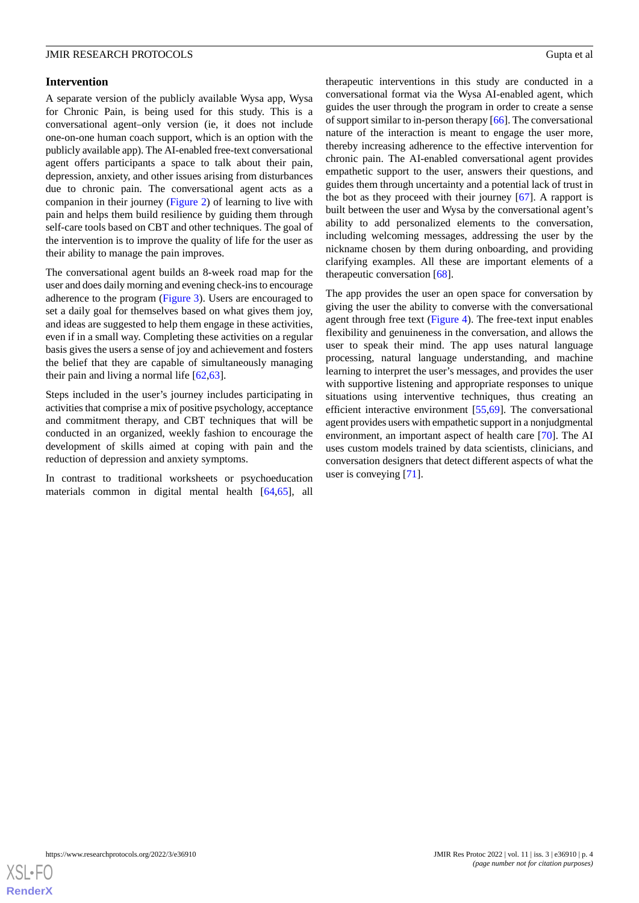#### **Intervention**

A separate version of the publicly available Wysa app, Wysa for Chronic Pain, is being used for this study. This is a conversational agent–only version (ie, it does not include one-on-one human coach support, which is an option with the publicly available app). The AI-enabled free-text conversational agent offers participants a space to talk about their pain, depression, anxiety, and other issues arising from disturbances due to chronic pain. The conversational agent acts as a companion in their journey [\(Figure 2](#page-4-0)) of learning to live with pain and helps them build resilience by guiding them through self-care tools based on CBT and other techniques. The goal of the intervention is to improve the quality of life for the user as their ability to manage the pain improves.

The conversational agent builds an 8-week road map for the user and does daily morning and evening check-ins to encourage adherence to the program ([Figure 3\)](#page-4-1). Users are encouraged to set a daily goal for themselves based on what gives them joy, and ideas are suggested to help them engage in these activities, even if in a small way. Completing these activities on a regular basis gives the users a sense of joy and achievement and fosters the belief that they are capable of simultaneously managing their pain and living a normal life [\[62](#page-10-11)[,63](#page-10-12)].

Steps included in the user's journey includes participating in activities that comprise a mix of positive psychology, acceptance and commitment therapy, and CBT techniques that will be conducted in an organized, weekly fashion to encourage the development of skills aimed at coping with pain and the reduction of depression and anxiety symptoms.

In contrast to traditional worksheets or psychoeducation materials common in digital mental health [\[64](#page-10-13)[,65](#page-11-0)], all

therapeutic interventions in this study are conducted in a conversational format via the Wysa AI-enabled agent, which guides the user through the program in order to create a sense of support similar to in-person therapy [[66\]](#page-11-1). The conversational nature of the interaction is meant to engage the user more, thereby increasing adherence to the effective intervention for chronic pain. The AI-enabled conversational agent provides empathetic support to the user, answers their questions, and guides them through uncertainty and a potential lack of trust in the bot as they proceed with their journey [[67\]](#page-11-2). A rapport is built between the user and Wysa by the conversational agent's ability to add personalized elements to the conversation, including welcoming messages, addressing the user by the nickname chosen by them during onboarding, and providing clarifying examples. All these are important elements of a therapeutic conversation [[68\]](#page-11-3).

The app provides the user an open space for conversation by giving the user the ability to converse with the conversational agent through free text ([Figure 4\)](#page-5-0). The free-text input enables flexibility and genuineness in the conversation, and allows the user to speak their mind. The app uses natural language processing, natural language understanding, and machine learning to interpret the user's messages, and provides the user with supportive listening and appropriate responses to unique situations using interventive techniques, thus creating an efficient interactive environment [\[55](#page-10-14),[69\]](#page-11-4). The conversational agent provides users with empathetic support in a nonjudgmental environment, an important aspect of health care [\[70](#page-11-5)]. The AI uses custom models trained by data scientists, clinicians, and conversation designers that detect different aspects of what the user is conveying [[71\]](#page-11-6).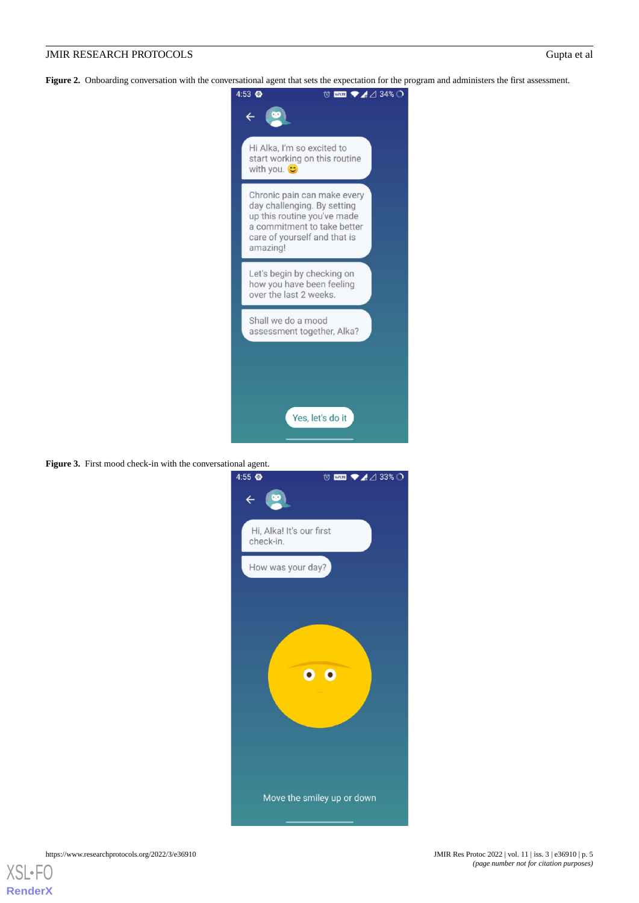<span id="page-4-0"></span>Figure 2. Onboarding conversation with the conversational agent that sets the expectation for the program and administers the first assessment.



<span id="page-4-1"></span>**Figure 3.** First mood check-in with the conversational agent.

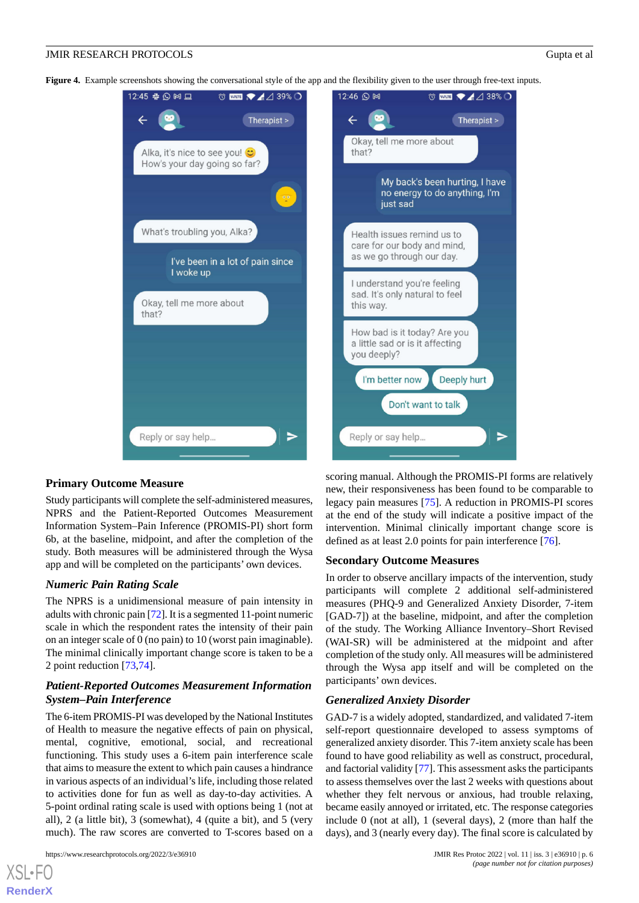<span id="page-5-0"></span>**Figure 4.** Example screenshots showing the conversational style of the app and the flexibility given to the user through free-text inputs.



#### **Primary Outcome Measure**

Study participants will complete the self-administered measures, NPRS and the Patient-Reported Outcomes Measurement Information System–Pain Inference (PROMIS-PI) short form 6b, at the baseline, midpoint, and after the completion of the study. Both measures will be administered through the Wysa app and will be completed on the participants' own devices.

#### *Numeric Pain Rating Scale*

The NPRS is a unidimensional measure of pain intensity in adults with chronic pain [[72](#page-11-7)]. It is a segmented 11-point numeric scale in which the respondent rates the intensity of their pain on an integer scale of 0 (no pain) to 10 (worst pain imaginable). The minimal clinically important change score is taken to be a 2 point reduction [[73,](#page-11-8)[74](#page-11-9)].

# *Patient-Reported Outcomes Measurement Information System–Pain Interference*

The 6-item PROMIS-PI was developed by the National Institutes of Health to measure the negative effects of pain on physical, mental, cognitive, emotional, social, and recreational functioning. This study uses a 6-item pain interference scale that aims to measure the extent to which pain causes a hindrance in various aspects of an individual's life, including those related to activities done for fun as well as day-to-day activities. A 5-point ordinal rating scale is used with options being 1 (not at all), 2 (a little bit), 3 (somewhat), 4 (quite a bit), and 5 (very much). The raw scores are converted to T-scores based on a

[XSL](http://www.w3.org/Style/XSL)•FO **[RenderX](http://www.renderx.com/)**

scoring manual. Although the PROMIS-PI forms are relatively new, their responsiveness has been found to be comparable to legacy pain measures [[75\]](#page-11-10). A reduction in PROMIS-PI scores at the end of the study will indicate a positive impact of the intervention. Minimal clinically important change score is defined as at least 2.0 points for pain interference [[76\]](#page-11-11).

#### **Secondary Outcome Measures**

In order to observe ancillary impacts of the intervention, study participants will complete 2 additional self-administered measures (PHQ-9 and Generalized Anxiety Disorder, 7-item [GAD-7]) at the baseline, midpoint, and after the completion of the study. The Working Alliance Inventory–Short Revised (WAI-SR) will be administered at the midpoint and after completion of the study only. All measures will be administered through the Wysa app itself and will be completed on the participants' own devices.

#### *Generalized Anxiety Disorder*

GAD-7 is a widely adopted, standardized, and validated 7-item self-report questionnaire developed to assess symptoms of generalized anxiety disorder. This 7-item anxiety scale has been found to have good reliability as well as construct, procedural, and factorial validity [\[77](#page-11-12)]. This assessment asks the participants to assess themselves over the last 2 weeks with questions about whether they felt nervous or anxious, had trouble relaxing, became easily annoyed or irritated, etc. The response categories include 0 (not at all), 1 (several days), 2 (more than half the days), and 3 (nearly every day). The final score is calculated by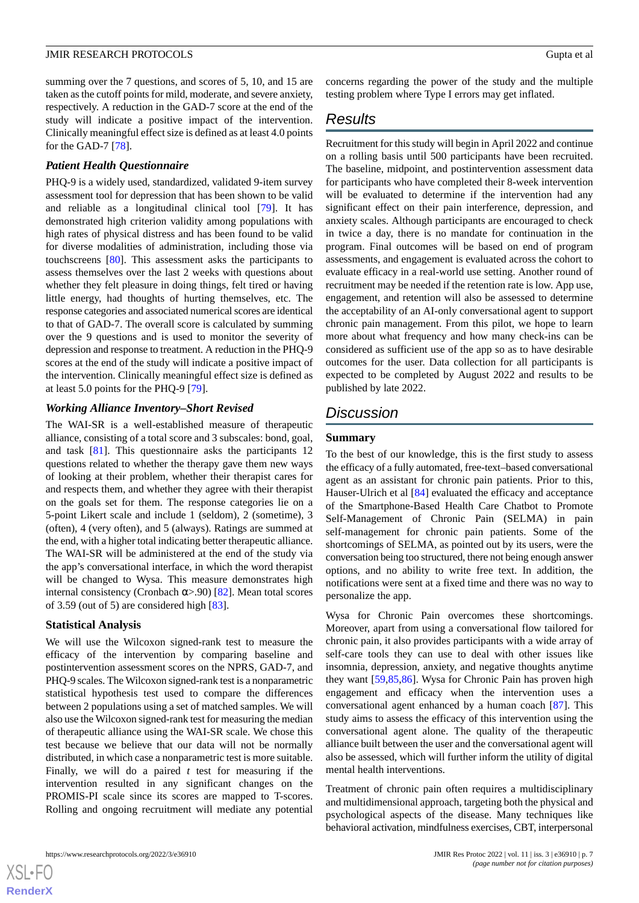summing over the 7 questions, and scores of 5, 10, and 15 are taken as the cutoff points for mild, moderate, and severe anxiety, respectively. A reduction in the GAD-7 score at the end of the study will indicate a positive impact of the intervention. Clinically meaningful effect size is defined as at least 4.0 points for the GAD-7 [\[78](#page-11-13)].

#### *Patient Health Questionnaire*

PHQ-9 is a widely used, standardized, validated 9-item survey assessment tool for depression that has been shown to be valid and reliable as a longitudinal clinical tool [\[79](#page-11-14)]. It has demonstrated high criterion validity among populations with high rates of physical distress and has been found to be valid for diverse modalities of administration, including those via touchscreens [\[80](#page-11-15)]. This assessment asks the participants to assess themselves over the last 2 weeks with questions about whether they felt pleasure in doing things, felt tired or having little energy, had thoughts of hurting themselves, etc. The response categories and associated numerical scores are identical to that of GAD-7. The overall score is calculated by summing over the 9 questions and is used to monitor the severity of depression and response to treatment. A reduction in the PHQ-9 scores at the end of the study will indicate a positive impact of the intervention. Clinically meaningful effect size is defined as at least 5.0 points for the PHQ-9 [\[79](#page-11-14)].

#### *Working Alliance Inventory–Short Revised*

The WAI-SR is a well-established measure of therapeutic alliance, consisting of a total score and 3 subscales: bond, goal, and task [[81\]](#page-11-16). This questionnaire asks the participants 12 questions related to whether the therapy gave them new ways of looking at their problem, whether their therapist cares for and respects them, and whether they agree with their therapist on the goals set for them. The response categories lie on a 5-point Likert scale and include 1 (seldom), 2 (sometime), 3 (often), 4 (very often), and 5 (always). Ratings are summed at the end, with a higher total indicating better therapeutic alliance. The WAI-SR will be administered at the end of the study via the app's conversational interface, in which the word therapist will be changed to Wysa. This measure demonstrates high internal consistency (Cronbach  $\alpha$ >.90) [[82\]](#page-11-17). Mean total scores of 3.59 (out of 5) are considered high [[83\]](#page-11-18).

#### **Statistical Analysis**

We will use the Wilcoxon signed-rank test to measure the efficacy of the intervention by comparing baseline and postintervention assessment scores on the NPRS, GAD-7, and PHQ-9 scales. The Wilcoxon signed-rank test is a nonparametric statistical hypothesis test used to compare the differences between 2 populations using a set of matched samples. We will also use the Wilcoxon signed-rank test for measuring the median of therapeutic alliance using the WAI-SR scale. We chose this test because we believe that our data will not be normally distributed, in which case a nonparametric test is more suitable. Finally, we will do a paired *t* test for measuring if the intervention resulted in any significant changes on the PROMIS-PI scale since its scores are mapped to T-scores. Rolling and ongoing recruitment will mediate any potential concerns regarding the power of the study and the multiple testing problem where Type I errors may get inflated.

# *Results*

Recruitment for this study will begin in April 2022 and continue on a rolling basis until 500 participants have been recruited. The baseline, midpoint, and postintervention assessment data for participants who have completed their 8-week intervention will be evaluated to determine if the intervention had any significant effect on their pain interference, depression, and anxiety scales. Although participants are encouraged to check in twice a day, there is no mandate for continuation in the program. Final outcomes will be based on end of program assessments, and engagement is evaluated across the cohort to evaluate efficacy in a real-world use setting. Another round of recruitment may be needed if the retention rate is low. App use, engagement, and retention will also be assessed to determine the acceptability of an AI-only conversational agent to support chronic pain management. From this pilot, we hope to learn more about what frequency and how many check-ins can be considered as sufficient use of the app so as to have desirable outcomes for the user. Data collection for all participants is expected to be completed by August 2022 and results to be published by late 2022.

# *Discussion*

#### **Summary**

To the best of our knowledge, this is the first study to assess the efficacy of a fully automated, free-text–based conversational agent as an assistant for chronic pain patients. Prior to this, Hauser-Ulrich et al [\[84](#page-11-19)] evaluated the efficacy and acceptance of the Smartphone-Based Health Care Chatbot to Promote Self-Management of Chronic Pain (SELMA) in pain self-management for chronic pain patients. Some of the shortcomings of SELMA, as pointed out by its users, were the conversation being too structured, there not being enough answer options, and no ability to write free text. In addition, the notifications were sent at a fixed time and there was no way to personalize the app.

Wysa for Chronic Pain overcomes these shortcomings. Moreover, apart from using a conversational flow tailored for chronic pain, it also provides participants with a wide array of self-care tools they can use to deal with other issues like insomnia, depression, anxiety, and negative thoughts anytime they want [\[59](#page-10-8),[85,](#page-11-20)[86](#page-11-21)]. Wysa for Chronic Pain has proven high engagement and efficacy when the intervention uses a conversational agent enhanced by a human coach [\[87](#page-11-22)]. This study aims to assess the efficacy of this intervention using the conversational agent alone. The quality of the therapeutic alliance built between the user and the conversational agent will also be assessed, which will further inform the utility of digital mental health interventions.

Treatment of chronic pain often requires a multidisciplinary and multidimensional approach, targeting both the physical and psychological aspects of the disease. Many techniques like behavioral activation, mindfulness exercises, CBT, interpersonal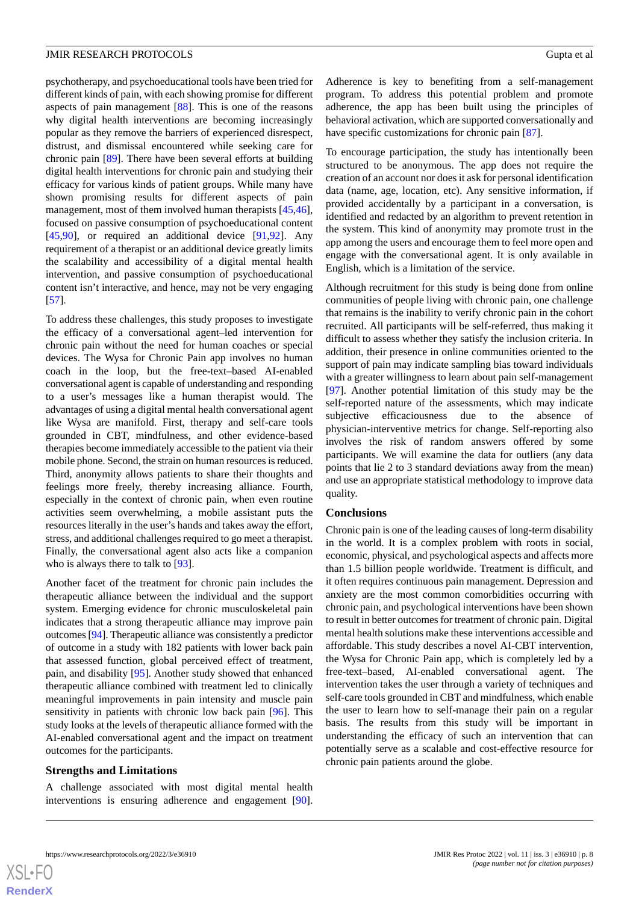psychotherapy, and psychoeducational tools have been tried for different kinds of pain, with each showing promise for different aspects of pain management [\[88](#page-12-0)]. This is one of the reasons why digital health interventions are becoming increasingly popular as they remove the barriers of experienced disrespect, distrust, and dismissal encountered while seeking care for chronic pain [\[89](#page-12-1)]. There have been several efforts at building digital health interventions for chronic pain and studying their efficacy for various kinds of patient groups. While many have shown promising results for different aspects of pain management, most of them involved human therapists [\[45](#page-10-15),[46\]](#page-10-0), focused on passive consumption of psychoeducational content  $[45,90]$  $[45,90]$  $[45,90]$  $[45,90]$ , or required an additional device  $[91,92]$  $[91,92]$  $[91,92]$  $[91,92]$ . Any requirement of a therapist or an additional device greatly limits the scalability and accessibility of a digital mental health intervention, and passive consumption of psychoeducational content isn't interactive, and hence, may not be very engaging [[57\]](#page-10-6).

To address these challenges, this study proposes to investigate the efficacy of a conversational agent–led intervention for chronic pain without the need for human coaches or special devices. The Wysa for Chronic Pain app involves no human coach in the loop, but the free-text–based AI-enabled conversational agent is capable of understanding and responding to a user's messages like a human therapist would. The advantages of using a digital mental health conversational agent like Wysa are manifold. First, therapy and self-care tools grounded in CBT, mindfulness, and other evidence-based therapies become immediately accessible to the patient via their mobile phone. Second, the strain on human resources is reduced. Third, anonymity allows patients to share their thoughts and feelings more freely, thereby increasing alliance. Fourth, especially in the context of chronic pain, when even routine activities seem overwhelming, a mobile assistant puts the resources literally in the user's hands and takes away the effort, stress, and additional challenges required to go meet a therapist. Finally, the conversational agent also acts like a companion who is always there to talk to [\[93](#page-12-5)].

Another facet of the treatment for chronic pain includes the therapeutic alliance between the individual and the support system. Emerging evidence for chronic musculoskeletal pain indicates that a strong therapeutic alliance may improve pain outcomes [\[94](#page-12-6)]. Therapeutic alliance was consistently a predictor of outcome in a study with 182 patients with lower back pain that assessed function, global perceived effect of treatment, pain, and disability [\[95](#page-12-7)]. Another study showed that enhanced therapeutic alliance combined with treatment led to clinically meaningful improvements in pain intensity and muscle pain sensitivity in patients with chronic low back pain [\[96](#page-12-8)]. This study looks at the levels of therapeutic alliance formed with the AI-enabled conversational agent and the impact on treatment outcomes for the participants.

### **Strengths and Limitations**

A challenge associated with most digital mental health interventions is ensuring adherence and engagement [[90\]](#page-12-2). Adherence is key to benefiting from a self-management program. To address this potential problem and promote adherence, the app has been built using the principles of behavioral activation, which are supported conversationally and have specific customizations for chronic pain [\[87](#page-11-22)].

To encourage participation, the study has intentionally been structured to be anonymous. The app does not require the creation of an account nor does it ask for personal identification data (name, age, location, etc). Any sensitive information, if provided accidentally by a participant in a conversation, is identified and redacted by an algorithm to prevent retention in the system. This kind of anonymity may promote trust in the app among the users and encourage them to feel more open and engage with the conversational agent. It is only available in English, which is a limitation of the service.

Although recruitment for this study is being done from online communities of people living with chronic pain, one challenge that remains is the inability to verify chronic pain in the cohort recruited. All participants will be self-referred, thus making it difficult to assess whether they satisfy the inclusion criteria. In addition, their presence in online communities oriented to the support of pain may indicate sampling bias toward individuals with a greater willingness to learn about pain self-management [[97\]](#page-12-9). Another potential limitation of this study may be the self-reported nature of the assessments, which may indicate subjective efficaciousness due to the absence of physician-interventive metrics for change. Self-reporting also involves the risk of random answers offered by some participants. We will examine the data for outliers (any data points that lie 2 to 3 standard deviations away from the mean) and use an appropriate statistical methodology to improve data quality.

#### **Conclusions**

Chronic pain is one of the leading causes of long-term disability in the world. It is a complex problem with roots in social, economic, physical, and psychological aspects and affects more than 1.5 billion people worldwide. Treatment is difficult, and it often requires continuous pain management. Depression and anxiety are the most common comorbidities occurring with chronic pain, and psychological interventions have been shown to result in better outcomes for treatment of chronic pain. Digital mental health solutions make these interventions accessible and affordable. This study describes a novel AI-CBT intervention, the Wysa for Chronic Pain app, which is completely led by a free-text–based, AI-enabled conversational agent. The intervention takes the user through a variety of techniques and self-care tools grounded in CBT and mindfulness, which enable the user to learn how to self-manage their pain on a regular basis. The results from this study will be important in understanding the efficacy of such an intervention that can potentially serve as a scalable and cost-effective resource for chronic pain patients around the globe.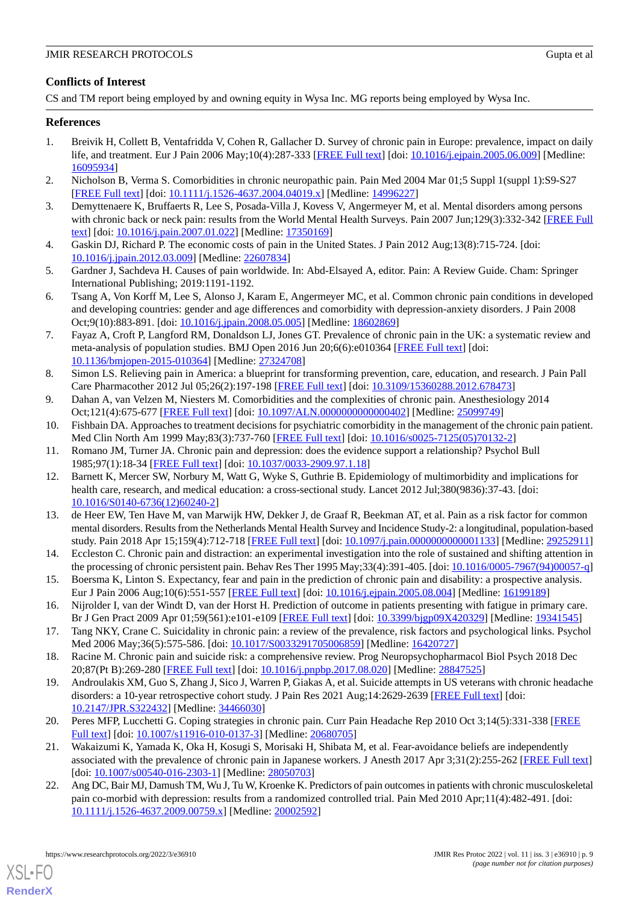# **Conflicts of Interest**

CS and TM report being employed by and owning equity in Wysa Inc. MG reports being employed by Wysa Inc.

# <span id="page-8-0"></span>**References**

- 1. Breivik H, Collett B, Ventafridda V, Cohen R, Gallacher D. Survey of chronic pain in Europe: prevalence, impact on daily life, and treatment. Eur J Pain 2006 May;10(4):287-333 [\[FREE Full text\]](http://paperpile.com/b/lFnvVd/uDF7) [doi: [10.1016/j.ejpain.2005.06.009](http://dx.doi.org/10.1016/j.ejpain.2005.06.009)] [Medline: [16095934](http://www.ncbi.nlm.nih.gov/entrez/query.fcgi?cmd=Retrieve&db=PubMed&list_uids=16095934&dopt=Abstract)]
- <span id="page-8-1"></span>2. Nicholson B, Verma S. Comorbidities in chronic neuropathic pain. Pain Med 2004 Mar 01;5 Suppl 1(suppl 1):S9-S27 [[FREE Full text](http://paperpile.com/b/lFnvVd/BAC7)] [doi: [10.1111/j.1526-4637.2004.04019.x\]](http://dx.doi.org/10.1111/j.1526-4637.2004.04019.x) [Medline: [14996227\]](http://www.ncbi.nlm.nih.gov/entrez/query.fcgi?cmd=Retrieve&db=PubMed&list_uids=14996227&dopt=Abstract)
- <span id="page-8-2"></span>3. Demyttenaere K, Bruffaerts R, Lee S, Posada-Villa J, Kovess V, Angermeyer M, et al. Mental disorders among persons with chronic back or neck pain: results from the World Mental Health Surveys. Pain 2007 Jun;129(3):332-342 [[FREE Full](http://paperpile.com/b/lFnvVd/km1I) [text](http://paperpile.com/b/lFnvVd/km1I)] [doi: [10.1016/j.pain.2007.01.022\]](http://dx.doi.org/10.1016/j.pain.2007.01.022) [Medline: [17350169\]](http://www.ncbi.nlm.nih.gov/entrez/query.fcgi?cmd=Retrieve&db=PubMed&list_uids=17350169&dopt=Abstract)
- <span id="page-8-3"></span>4. Gaskin DJ, Richard P. The economic costs of pain in the United States. J Pain 2012 Aug;13(8):715-724. [doi: [10.1016/j.jpain.2012.03.009\]](http://dx.doi.org/10.1016/j.jpain.2012.03.009) [Medline: [22607834](http://www.ncbi.nlm.nih.gov/entrez/query.fcgi?cmd=Retrieve&db=PubMed&list_uids=22607834&dopt=Abstract)]
- <span id="page-8-4"></span>5. Gardner J, Sachdeva H. Causes of pain worldwide. In: Abd-Elsayed A, editor. Pain: A Review Guide. Cham: Springer International Publishing; 2019:1191-1192.
- <span id="page-8-5"></span>6. Tsang A, Von Korff M, Lee S, Alonso J, Karam E, Angermeyer MC, et al. Common chronic pain conditions in developed and developing countries: gender and age differences and comorbidity with depression-anxiety disorders. J Pain 2008 Oct;9(10):883-891. [doi: [10.1016/j.jpain.2008.05.005\]](http://dx.doi.org/10.1016/j.jpain.2008.05.005) [Medline: [18602869\]](http://www.ncbi.nlm.nih.gov/entrez/query.fcgi?cmd=Retrieve&db=PubMed&list_uids=18602869&dopt=Abstract)
- <span id="page-8-6"></span>7. Fayaz A, Croft P, Langford RM, Donaldson LJ, Jones GT. Prevalence of chronic pain in the UK: a systematic review and meta-analysis of population studies. BMJ Open 2016 Jun 20;6(6):e010364 [\[FREE Full text\]](https://bmjopen.bmj.com/lookup/pmidlookup?view=long&pmid=27324708) [doi: [10.1136/bmjopen-2015-010364\]](http://dx.doi.org/10.1136/bmjopen-2015-010364) [Medline: [27324708](http://www.ncbi.nlm.nih.gov/entrez/query.fcgi?cmd=Retrieve&db=PubMed&list_uids=27324708&dopt=Abstract)]
- <span id="page-8-8"></span><span id="page-8-7"></span>8. Simon LS. Relieving pain in America: a blueprint for transforming prevention, care, education, and research. J Pain Pall Care Pharmacother 2012 Jul 05;26(2):197-198 [[FREE Full text](http://paperpile.com/b/lFnvVd/5ZaX)] [doi: [10.3109/15360288.2012.678473\]](http://dx.doi.org/10.3109/15360288.2012.678473)
- <span id="page-8-9"></span>9. Dahan A, van Velzen M, Niesters M. Comorbidities and the complexities of chronic pain. Anesthesiology 2014 Oct;121(4):675-677 [\[FREE Full text\]](https://pubs.asahq.org/anesthesiology/article-lookup/doi/10.1097/ALN.0000000000000402) [doi: [10.1097/ALN.0000000000000402](http://dx.doi.org/10.1097/ALN.0000000000000402)] [Medline: [25099749](http://www.ncbi.nlm.nih.gov/entrez/query.fcgi?cmd=Retrieve&db=PubMed&list_uids=25099749&dopt=Abstract)]
- <span id="page-8-10"></span>10. Fishbain DA. Approaches to treatment decisions for psychiatric comorbidity in the management of the chronic pain patient. Med Clin North Am 1999 May;83(3):737-760 [[FREE Full text](http://paperpile.com/b/lFnvVd/crvU)] [doi: [10.1016/s0025-7125\(05\)70132-2\]](http://dx.doi.org/10.1016/s0025-7125(05)70132-2)
- 11. Romano JM, Turner JA. Chronic pain and depression: does the evidence support a relationship? Psychol Bull 1985;97(1):18-34 [[FREE Full text](http://paperpile.com/b/lFnvVd/VF14)] [doi: [10.1037/0033-2909.97.1.18\]](http://dx.doi.org/10.1037/0033-2909.97.1.18)
- <span id="page-8-11"></span>12. Barnett K, Mercer SW, Norbury M, Watt G, Wyke S, Guthrie B. Epidemiology of multimorbidity and implications for health care, research, and medical education: a cross-sectional study. Lancet 2012 Jul;380(9836):37-43. [doi: [10.1016/S0140-6736\(12\)60240-2\]](http://dx.doi.org/10.1016/S0140-6736(12)60240-2)
- <span id="page-8-13"></span><span id="page-8-12"></span>13. de Heer EW, Ten Have M, van Marwijk HW, Dekker J, de Graaf R, Beekman AT, et al. Pain as a risk factor for common mental disorders. Results from the Netherlands Mental Health Survey and Incidence Study-2: a longitudinal, population-based study. Pain 2018 Apr 15;159(4):712-718 [\[FREE Full text](http://paperpile.com/b/lFnvVd/Q7Dp)] [doi: [10.1097/j.pain.0000000000001133\]](http://dx.doi.org/10.1097/j.pain.0000000000001133) [Medline: [29252911](http://www.ncbi.nlm.nih.gov/entrez/query.fcgi?cmd=Retrieve&db=PubMed&list_uids=29252911&dopt=Abstract)]
- <span id="page-8-14"></span>14. Eccleston C. Chronic pain and distraction: an experimental investigation into the role of sustained and shifting attention in the processing of chronic persistent pain. Behav Res Ther 1995 May;33(4):391-405. [doi: [10.1016/0005-7967\(94\)00057-q](http://dx.doi.org/10.1016/0005-7967(94)00057-q)]
- <span id="page-8-15"></span>15. Boersma K, Linton S. Expectancy, fear and pain in the prediction of chronic pain and disability: a prospective analysis. Eur J Pain 2006 Aug;10(6):551-557 [\[FREE Full text](http://paperpile.com/b/lFnvVd/N93T)] [doi: [10.1016/j.ejpain.2005.08.004](http://dx.doi.org/10.1016/j.ejpain.2005.08.004)] [Medline: [16199189\]](http://www.ncbi.nlm.nih.gov/entrez/query.fcgi?cmd=Retrieve&db=PubMed&list_uids=16199189&dopt=Abstract)
- <span id="page-8-16"></span>16. Nijrolder I, van der Windt D, van der Horst H. Prediction of outcome in patients presenting with fatigue in primary care. Br J Gen Pract 2009 Apr 01;59(561):e101-e109 [\[FREE Full text\]](https://bjgp.org/cgi/pmidlookup?view=long&pmid=19341545) [doi: [10.3399/bjgp09X420329](http://dx.doi.org/10.3399/bjgp09X420329)] [Medline: [19341545](http://www.ncbi.nlm.nih.gov/entrez/query.fcgi?cmd=Retrieve&db=PubMed&list_uids=19341545&dopt=Abstract)]
- 17. Tang NKY, Crane C. Suicidality in chronic pain: a review of the prevalence, risk factors and psychological links. Psychol Med 2006 May;36(5):575-586. [doi: [10.1017/S0033291705006859\]](http://dx.doi.org/10.1017/S0033291705006859) [Medline: [16420727\]](http://www.ncbi.nlm.nih.gov/entrez/query.fcgi?cmd=Retrieve&db=PubMed&list_uids=16420727&dopt=Abstract)
- <span id="page-8-17"></span>18. Racine M. Chronic pain and suicide risk: a comprehensive review. Prog Neuropsychopharmacol Biol Psych 2018 Dec 20;87(Pt B):269-280 [\[FREE Full text\]](http://paperpile.com/b/lFnvVd/3Q2j) [doi: [10.1016/j.pnpbp.2017.08.020](http://dx.doi.org/10.1016/j.pnpbp.2017.08.020)] [Medline: [28847525\]](http://www.ncbi.nlm.nih.gov/entrez/query.fcgi?cmd=Retrieve&db=PubMed&list_uids=28847525&dopt=Abstract)
- <span id="page-8-18"></span>19. Androulakis XM, Guo S, Zhang J, Sico J, Warren P, Giakas A, et al. Suicide attempts in US veterans with chronic headache disorders: a 10-year retrospective cohort study. J Pain Res 2021 Aug;14:2629-2639 [[FREE Full text](https://dx.doi.org/10.2147/JPR.S322432)] [doi: [10.2147/JPR.S322432\]](http://dx.doi.org/10.2147/JPR.S322432) [Medline: [34466030\]](http://www.ncbi.nlm.nih.gov/entrez/query.fcgi?cmd=Retrieve&db=PubMed&list_uids=34466030&dopt=Abstract)
- <span id="page-8-19"></span>20. Peres MFP, Lucchetti G. Coping strategies in chronic pain. Curr Pain Headache Rep 2010 Oct 3;14(5):331-338 [\[FREE](http://paperpile.com/b/lFnvVd/nl0r) [Full text\]](http://paperpile.com/b/lFnvVd/nl0r) [doi: [10.1007/s11916-010-0137-3](http://dx.doi.org/10.1007/s11916-010-0137-3)] [Medline: [20680705](http://www.ncbi.nlm.nih.gov/entrez/query.fcgi?cmd=Retrieve&db=PubMed&list_uids=20680705&dopt=Abstract)]
- 21. Wakaizumi K, Yamada K, Oka H, Kosugi S, Morisaki H, Shibata M, et al. Fear-avoidance beliefs are independently associated with the prevalence of chronic pain in Japanese workers. J Anesth 2017 Apr 3;31(2):255-262 [[FREE Full text](http://paperpile.com/b/lFnvVd/0DpL)] [doi: [10.1007/s00540-016-2303-1](http://dx.doi.org/10.1007/s00540-016-2303-1)] [Medline: [28050703\]](http://www.ncbi.nlm.nih.gov/entrez/query.fcgi?cmd=Retrieve&db=PubMed&list_uids=28050703&dopt=Abstract)
- 22. Ang DC, Bair MJ, Damush TM, Wu J, Tu W, Kroenke K. Predictors of pain outcomes in patients with chronic musculoskeletal pain co-morbid with depression: results from a randomized controlled trial. Pain Med 2010 Apr;11(4):482-491. [doi: [10.1111/j.1526-4637.2009.00759.x\]](http://dx.doi.org/10.1111/j.1526-4637.2009.00759.x) [Medline: [20002592\]](http://www.ncbi.nlm.nih.gov/entrez/query.fcgi?cmd=Retrieve&db=PubMed&list_uids=20002592&dopt=Abstract)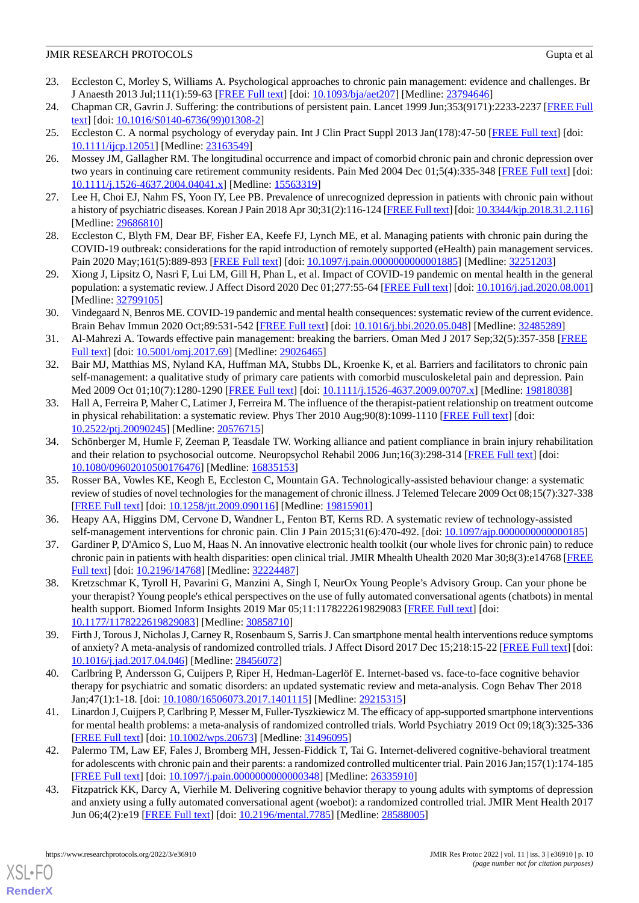- <span id="page-9-0"></span>23. Eccleston C, Morley S, Williams A. Psychological approaches to chronic pain management: evidence and challenges. Br J Anaesth 2013 Jul;111(1):59-63 [[FREE Full text](https://linkinghub.elsevier.com/retrieve/pii/S0007-0912(17)32967-7)] [doi: [10.1093/bja/aet207](http://dx.doi.org/10.1093/bja/aet207)] [Medline: [23794646](http://www.ncbi.nlm.nih.gov/entrez/query.fcgi?cmd=Retrieve&db=PubMed&list_uids=23794646&dopt=Abstract)]
- <span id="page-9-2"></span><span id="page-9-1"></span>24. Chapman CR, Gavrin J. Suffering: the contributions of persistent pain. Lancet 1999 Jun;353(9171):2233-2237 [[FREE Full](http://paperpile.com/b/lFnvVd/2WYG) [text](http://paperpile.com/b/lFnvVd/2WYG)] [doi: [10.1016/S0140-6736\(99\)01308-2\]](http://dx.doi.org/10.1016/S0140-6736(99)01308-2)
- <span id="page-9-3"></span>25. Eccleston C. A normal psychology of everyday pain. Int J Clin Pract Suppl 2013 Jan(178):47-50 [[FREE Full text](http://paperpile.com/b/lFnvVd/clNK)] [doi: [10.1111/ijcp.12051](http://dx.doi.org/10.1111/ijcp.12051)] [Medline: [23163549](http://www.ncbi.nlm.nih.gov/entrez/query.fcgi?cmd=Retrieve&db=PubMed&list_uids=23163549&dopt=Abstract)]
- 26. Mossey JM, Gallagher RM. The longitudinal occurrence and impact of comorbid chronic pain and chronic depression over two years in continuing care retirement community residents. Pain Med 2004 Dec 01;5(4):335-348 [[FREE Full text](http://paperpile.com/b/lFnvVd/xoUy)] [doi: [10.1111/j.1526-4637.2004.04041.x\]](http://dx.doi.org/10.1111/j.1526-4637.2004.04041.x) [Medline: [15563319\]](http://www.ncbi.nlm.nih.gov/entrez/query.fcgi?cmd=Retrieve&db=PubMed&list_uids=15563319&dopt=Abstract)
- <span id="page-9-5"></span><span id="page-9-4"></span>27. Lee H, Choi EJ, Nahm FS, Yoon IY, Lee PB. Prevalence of unrecognized depression in patients with chronic pain without a history of psychiatric diseases. Korean J Pain 2018 Apr 30;31(2):116-124 [[FREE Full text\]](http://www.epain.org/journal/view.html?volume=31&number=2&spage=116) [doi: [10.3344/kjp.2018.31.2.116\]](http://dx.doi.org/10.3344/kjp.2018.31.2.116) [Medline: [29686810](http://www.ncbi.nlm.nih.gov/entrez/query.fcgi?cmd=Retrieve&db=PubMed&list_uids=29686810&dopt=Abstract)]
- <span id="page-9-6"></span>28. Eccleston C, Blyth FM, Dear BF, Fisher EA, Keefe FJ, Lynch ME, et al. Managing patients with chronic pain during the COVID-19 outbreak: considerations for the rapid introduction of remotely supported (eHealth) pain management services. Pain 2020 May;161(5):889-893 [[FREE Full text](http://europepmc.org/abstract/MED/32251203)] [doi: [10.1097/j.pain.0000000000001885\]](http://dx.doi.org/10.1097/j.pain.0000000000001885) [Medline: [32251203](http://www.ncbi.nlm.nih.gov/entrez/query.fcgi?cmd=Retrieve&db=PubMed&list_uids=32251203&dopt=Abstract)]
- <span id="page-9-7"></span>29. Xiong J, Lipsitz O, Nasri F, Lui LM, Gill H, Phan L, et al. Impact of COVID-19 pandemic on mental health in the general population: a systematic review. J Affect Disord 2020 Dec 01;277:55-64 [\[FREE Full text\]](http://europepmc.org/abstract/MED/32799105) [doi: [10.1016/j.jad.2020.08.001](http://dx.doi.org/10.1016/j.jad.2020.08.001)] [Medline: [32799105](http://www.ncbi.nlm.nih.gov/entrez/query.fcgi?cmd=Retrieve&db=PubMed&list_uids=32799105&dopt=Abstract)]
- <span id="page-9-8"></span>30. Vindegaard N, Benros ME. COVID-19 pandemic and mental health consequences: systematic review of the current evidence. Brain Behav Immun 2020 Oct;89:531-542 [\[FREE Full text\]](http://europepmc.org/abstract/MED/32485289) [doi: [10.1016/j.bbi.2020.05.048\]](http://dx.doi.org/10.1016/j.bbi.2020.05.048) [Medline: [32485289](http://www.ncbi.nlm.nih.gov/entrez/query.fcgi?cmd=Retrieve&db=PubMed&list_uids=32485289&dopt=Abstract)]
- <span id="page-9-9"></span>31. Al-Mahrezi A. Towards effective pain management: breaking the barriers. Oman Med J 2017 Sep;32(5):357-358 [[FREE](http://europepmc.org/abstract/MED/29026465) [Full text\]](http://europepmc.org/abstract/MED/29026465) [doi: [10.5001/omj.2017.69](http://dx.doi.org/10.5001/omj.2017.69)] [Medline: [29026465\]](http://www.ncbi.nlm.nih.gov/entrez/query.fcgi?cmd=Retrieve&db=PubMed&list_uids=29026465&dopt=Abstract)
- <span id="page-9-10"></span>32. Bair MJ, Matthias MS, Nyland KA, Huffman MA, Stubbs DL, Kroenke K, et al. Barriers and facilitators to chronic pain self-management: a qualitative study of primary care patients with comorbid musculoskeletal pain and depression. Pain Med 2009 Oct 01;10(7):1280-1290 [\[FREE Full text\]](http://europepmc.org/abstract/MED/19818038) [doi: [10.1111/j.1526-4637.2009.00707.x](http://dx.doi.org/10.1111/j.1526-4637.2009.00707.x)] [Medline: [19818038\]](http://www.ncbi.nlm.nih.gov/entrez/query.fcgi?cmd=Retrieve&db=PubMed&list_uids=19818038&dopt=Abstract)
- <span id="page-9-11"></span>33. Hall A, Ferreira P, Maher C, Latimer J, Ferreira M. The influence of the therapist-patient relationship on treatment outcome in physical rehabilitation: a systematic review. Phys Ther 2010 Aug;90(8):1099-1110 [\[FREE Full text\]](http://paperpile.com/b/lFnvVd/wdLr) [doi: [10.2522/ptj.20090245\]](http://dx.doi.org/10.2522/ptj.20090245) [Medline: [20576715\]](http://www.ncbi.nlm.nih.gov/entrez/query.fcgi?cmd=Retrieve&db=PubMed&list_uids=20576715&dopt=Abstract)
- <span id="page-9-12"></span>34. Schönberger M, Humle F, Zeeman P, Teasdale TW. Working alliance and patient compliance in brain injury rehabilitation and their relation to psychosocial outcome. Neuropsychol Rehabil 2006 Jun;16(3):298-314 [\[FREE Full text\]](http://paperpile.com/b/lFnvVd/yOK2) [doi: [10.1080/09602010500176476\]](http://dx.doi.org/10.1080/09602010500176476) [Medline: [16835153\]](http://www.ncbi.nlm.nih.gov/entrez/query.fcgi?cmd=Retrieve&db=PubMed&list_uids=16835153&dopt=Abstract)
- <span id="page-9-14"></span><span id="page-9-13"></span>35. Rosser BA, Vowles KE, Keogh E, Eccleston C, Mountain GA. Technologically-assisted behaviour change: a systematic review of studies of novel technologies for the management of chronic illness. J Telemed Telecare 2009 Oct 08;15(7):327-338 [[FREE Full text](http://paperpile.com/b/lFnvVd/f7AU)] [doi: [10.1258/jtt.2009.090116](http://dx.doi.org/10.1258/jtt.2009.090116)] [Medline: [19815901\]](http://www.ncbi.nlm.nih.gov/entrez/query.fcgi?cmd=Retrieve&db=PubMed&list_uids=19815901&dopt=Abstract)
- <span id="page-9-15"></span>36. Heapy AA, Higgins DM, Cervone D, Wandner L, Fenton BT, Kerns RD. A systematic review of technology-assisted self-management interventions for chronic pain. Clin J Pain 2015;31(6):470-492. [doi: [10.1097/ajp.0000000000000185](http://dx.doi.org/10.1097/ajp.0000000000000185)]
- 37. Gardiner P, D'Amico S, Luo M, Haas N. An innovative electronic health toolkit (our whole lives for chronic pain) to reduce chronic pain in patients with health disparities: open clinical trial. JMIR Mhealth Uhealth 2020 Mar 30;8(3):e14768 [\[FREE](https://mhealth.jmir.org/2020/3/e14768/) [Full text\]](https://mhealth.jmir.org/2020/3/e14768/) [doi: [10.2196/14768\]](http://dx.doi.org/10.2196/14768) [Medline: [32224487](http://www.ncbi.nlm.nih.gov/entrez/query.fcgi?cmd=Retrieve&db=PubMed&list_uids=32224487&dopt=Abstract)]
- <span id="page-9-17"></span><span id="page-9-16"></span>38. Kretzschmar K, Tyroll H, Pavarini G, Manzini A, Singh I, NeurOx Young People's Advisory Group. Can your phone be your therapist? Young people's ethical perspectives on the use of fully automated conversational agents (chatbots) in mental health support. Biomed Inform Insights 2019 Mar 05;11:1178222619829083 [\[FREE Full text](https://journals.sagepub.com/doi/10.1177/1178222619829083?url_ver=Z39.88-2003&rfr_id=ori:rid:crossref.org&rfr_dat=cr_pub%3dpubmed)] [doi: [10.1177/1178222619829083\]](http://dx.doi.org/10.1177/1178222619829083) [Medline: [30858710\]](http://www.ncbi.nlm.nih.gov/entrez/query.fcgi?cmd=Retrieve&db=PubMed&list_uids=30858710&dopt=Abstract)
- <span id="page-9-18"></span>39. Firth J, Torous J, Nicholas J, Carney R, Rosenbaum S, Sarris J. Can smartphone mental health interventions reduce symptoms of anxiety? A meta-analysis of randomized controlled trials. J Affect Disord 2017 Dec 15;218:15-22 [[FREE Full text](https://linkinghub.elsevier.com/retrieve/pii/S0165-0327(17)30015-0)] [doi: [10.1016/j.jad.2017.04.046\]](http://dx.doi.org/10.1016/j.jad.2017.04.046) [Medline: [28456072\]](http://www.ncbi.nlm.nih.gov/entrez/query.fcgi?cmd=Retrieve&db=PubMed&list_uids=28456072&dopt=Abstract)
- <span id="page-9-19"></span>40. Carlbring P, Andersson G, Cuijpers P, Riper H, Hedman-Lagerlöf E. Internet-based vs. face-to-face cognitive behavior therapy for psychiatric and somatic disorders: an updated systematic review and meta-analysis. Cogn Behav Ther 2018 Jan;47(1):1-18. [doi: [10.1080/16506073.2017.1401115](http://dx.doi.org/10.1080/16506073.2017.1401115)] [Medline: [29215315\]](http://www.ncbi.nlm.nih.gov/entrez/query.fcgi?cmd=Retrieve&db=PubMed&list_uids=29215315&dopt=Abstract)
- <span id="page-9-20"></span>41. Linardon J, Cuijpers P, Carlbring P, Messer M, Fuller-Tyszkiewicz M. The efficacy of app-supported smartphone interventions for mental health problems: a meta-analysis of randomized controlled trials. World Psychiatry 2019 Oct 09;18(3):325-336 [[FREE Full text](https://doi.org/10.1002/wps.20673)] [doi: [10.1002/wps.20673](http://dx.doi.org/10.1002/wps.20673)] [Medline: [31496095](http://www.ncbi.nlm.nih.gov/entrez/query.fcgi?cmd=Retrieve&db=PubMed&list_uids=31496095&dopt=Abstract)]
- 42. Palermo TM, Law EF, Fales J, Bromberg MH, Jessen-Fiddick T, Tai G. Internet-delivered cognitive-behavioral treatment for adolescents with chronic pain and their parents: a randomized controlled multicenter trial. Pain 2016 Jan;157(1):174-185 [[FREE Full text](http://europepmc.org/abstract/MED/26335910)] [doi: [10.1097/j.pain.0000000000000348\]](http://dx.doi.org/10.1097/j.pain.0000000000000348) [Medline: [26335910\]](http://www.ncbi.nlm.nih.gov/entrez/query.fcgi?cmd=Retrieve&db=PubMed&list_uids=26335910&dopt=Abstract)
- 43. Fitzpatrick KK, Darcy A, Vierhile M. Delivering cognitive behavior therapy to young adults with symptoms of depression and anxiety using a fully automated conversational agent (woebot): a randomized controlled trial. JMIR Ment Health 2017 Jun 06;4(2):e19 [\[FREE Full text\]](http://mental.jmir.org/2017/2/e19/) [doi: [10.2196/mental.7785](http://dx.doi.org/10.2196/mental.7785)] [Medline: [28588005\]](http://www.ncbi.nlm.nih.gov/entrez/query.fcgi?cmd=Retrieve&db=PubMed&list_uids=28588005&dopt=Abstract)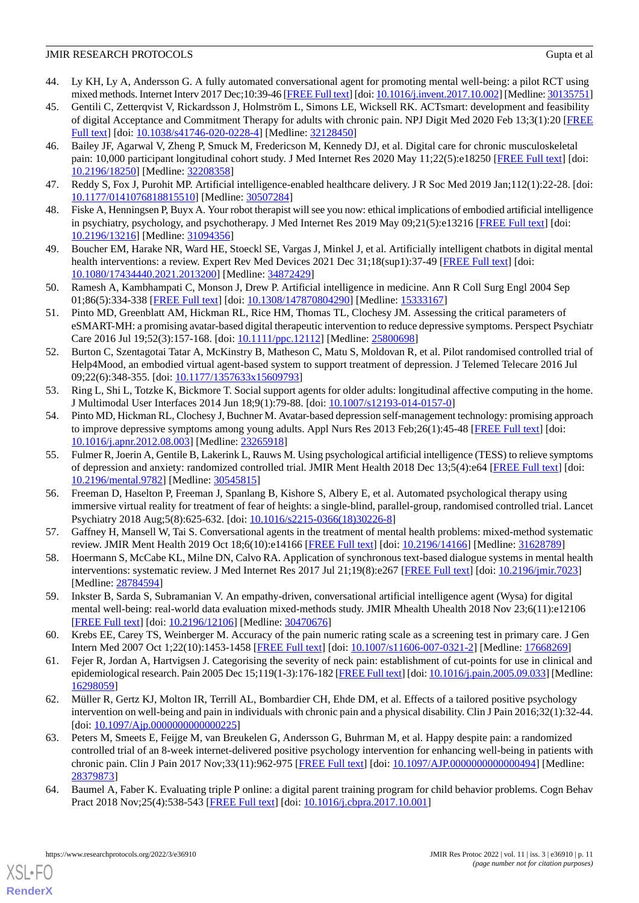- 44. Ly KH, Ly A, Andersson G. A fully automated conversational agent for promoting mental well-being: a pilot RCT using mixed methods. Internet Interv 2017 Dec;10:39-46 [\[FREE Full text](https://linkinghub.elsevier.com/retrieve/pii/S2214-7829(17)30091-X)] [doi: [10.1016/j.invent.2017.10.002\]](http://dx.doi.org/10.1016/j.invent.2017.10.002) [Medline: [30135751\]](http://www.ncbi.nlm.nih.gov/entrez/query.fcgi?cmd=Retrieve&db=PubMed&list_uids=30135751&dopt=Abstract)
- <span id="page-10-15"></span>45. Gentili C, Zetterqvist V, Rickardsson J, Holmström L, Simons LE, Wicksell RK. ACTsmart: development and feasibility of digital Acceptance and Commitment Therapy for adults with chronic pain. NPJ Digit Med 2020 Feb 13;3(1):20 [\[FREE](https://doi.org/10.1038/s41746-020-0228-4) [Full text\]](https://doi.org/10.1038/s41746-020-0228-4) [doi: [10.1038/s41746-020-0228-4](http://dx.doi.org/10.1038/s41746-020-0228-4)] [Medline: [32128450](http://www.ncbi.nlm.nih.gov/entrez/query.fcgi?cmd=Retrieve&db=PubMed&list_uids=32128450&dopt=Abstract)]
- <span id="page-10-0"></span>46. Bailey JF, Agarwal V, Zheng P, Smuck M, Fredericson M, Kennedy DJ, et al. Digital care for chronic musculoskeletal pain: 10,000 participant longitudinal cohort study. J Med Internet Res 2020 May 11;22(5):e18250 [\[FREE Full text\]](https://www.jmir.org/2020/5/e18250/) [doi: [10.2196/18250\]](http://dx.doi.org/10.2196/18250) [Medline: [32208358\]](http://www.ncbi.nlm.nih.gov/entrez/query.fcgi?cmd=Retrieve&db=PubMed&list_uids=32208358&dopt=Abstract)
- <span id="page-10-2"></span><span id="page-10-1"></span>47. Reddy S, Fox J, Purohit MP. Artificial intelligence-enabled healthcare delivery. J R Soc Med 2019 Jan;112(1):22-28. [doi: [10.1177/0141076818815510\]](http://dx.doi.org/10.1177/0141076818815510) [Medline: [30507284\]](http://www.ncbi.nlm.nih.gov/entrez/query.fcgi?cmd=Retrieve&db=PubMed&list_uids=30507284&dopt=Abstract)
- 48. Fiske A, Henningsen P, Buyx A. Your robot therapist will see you now: ethical implications of embodied artificial intelligence in psychiatry, psychology, and psychotherapy. J Med Internet Res 2019 May 09;21(5):e13216 [[FREE Full text](https://www.jmir.org/2019/5/e13216/)] [doi: [10.2196/13216\]](http://dx.doi.org/10.2196/13216) [Medline: [31094356\]](http://www.ncbi.nlm.nih.gov/entrez/query.fcgi?cmd=Retrieve&db=PubMed&list_uids=31094356&dopt=Abstract)
- <span id="page-10-3"></span>49. Boucher EM, Harake NR, Ward HE, Stoeckl SE, Vargas J, Minkel J, et al. Artificially intelligent chatbots in digital mental health interventions: a review. Expert Rev Med Devices 2021 Dec 31;18(sup1):37-49 [[FREE Full text](http://paperpile.com/b/lFnvVd/oyDj)] [doi: [10.1080/17434440.2021.2013200\]](http://dx.doi.org/10.1080/17434440.2021.2013200) [Medline: [34872429\]](http://www.ncbi.nlm.nih.gov/entrez/query.fcgi?cmd=Retrieve&db=PubMed&list_uids=34872429&dopt=Abstract)
- <span id="page-10-4"></span>50. Ramesh A, Kambhampati C, Monson J, Drew P. Artificial intelligence in medicine. Ann R Coll Surg Engl 2004 Sep 01;86(5):334-338 [[FREE Full text](http://europepmc.org/abstract/MED/15333167)] [doi: [10.1308/147870804290\]](http://dx.doi.org/10.1308/147870804290) [Medline: [15333167\]](http://www.ncbi.nlm.nih.gov/entrez/query.fcgi?cmd=Retrieve&db=PubMed&list_uids=15333167&dopt=Abstract)
- 51. Pinto MD, Greenblatt AM, Hickman RL, Rice HM, Thomas TL, Clochesy JM. Assessing the critical parameters of eSMART-MH: a promising avatar-based digital therapeutic intervention to reduce depressive symptoms. Perspect Psychiatr Care 2016 Jul 19;52(3):157-168. [doi: [10.1111/ppc.12112\]](http://dx.doi.org/10.1111/ppc.12112) [Medline: [25800698](http://www.ncbi.nlm.nih.gov/entrez/query.fcgi?cmd=Retrieve&db=PubMed&list_uids=25800698&dopt=Abstract)]
- 52. Burton C, Szentagotai Tatar A, McKinstry B, Matheson C, Matu S, Moldovan R, et al. Pilot randomised controlled trial of Help4Mood, an embodied virtual agent-based system to support treatment of depression. J Telemed Telecare 2016 Jul 09;22(6):348-355. [doi: [10.1177/1357633x15609793\]](http://dx.doi.org/10.1177/1357633x15609793)
- 53. Ring L, Shi L, Totzke K, Bickmore T. Social support agents for older adults: longitudinal affective computing in the home. J Multimodal User Interfaces 2014 Jun 18;9(1):79-88. [doi: [10.1007/s12193-014-0157-0\]](http://dx.doi.org/10.1007/s12193-014-0157-0)
- <span id="page-10-14"></span>54. Pinto MD, Hickman RL, Clochesy J, Buchner M. Avatar-based depression self-management technology: promising approach to improve depressive symptoms among young adults. Appl Nurs Res 2013 Feb;26(1):45-48 [\[FREE Full text\]](http://europepmc.org/abstract/MED/23265918) [doi: [10.1016/j.apnr.2012.08.003\]](http://dx.doi.org/10.1016/j.apnr.2012.08.003) [Medline: [23265918\]](http://www.ncbi.nlm.nih.gov/entrez/query.fcgi?cmd=Retrieve&db=PubMed&list_uids=23265918&dopt=Abstract)
- <span id="page-10-5"></span>55. Fulmer R, Joerin A, Gentile B, Lakerink L, Rauws M. Using psychological artificial intelligence (TESS) to relieve symptoms of depression and anxiety: randomized controlled trial. JMIR Ment Health 2018 Dec 13;5(4):e64 [[FREE Full text](http://mental.jmir.org/2018/4/e64/)] [doi: [10.2196/mental.9782\]](http://dx.doi.org/10.2196/mental.9782) [Medline: [30545815](http://www.ncbi.nlm.nih.gov/entrez/query.fcgi?cmd=Retrieve&db=PubMed&list_uids=30545815&dopt=Abstract)]
- <span id="page-10-7"></span><span id="page-10-6"></span>56. Freeman D, Haselton P, Freeman J, Spanlang B, Kishore S, Albery E, et al. Automated psychological therapy using immersive virtual reality for treatment of fear of heights: a single-blind, parallel-group, randomised controlled trial. Lancet Psychiatry 2018 Aug;5(8):625-632. [doi: [10.1016/s2215-0366\(18\)30226-8](http://dx.doi.org/10.1016/s2215-0366(18)30226-8)]
- <span id="page-10-8"></span>57. Gaffney H, Mansell W, Tai S. Conversational agents in the treatment of mental health problems: mixed-method systematic review. JMIR Ment Health 2019 Oct 18;6(10):e14166 [[FREE Full text\]](https://mental.jmir.org/2019/10/e14166/) [doi: [10.2196/14166\]](http://dx.doi.org/10.2196/14166) [Medline: [31628789](http://www.ncbi.nlm.nih.gov/entrez/query.fcgi?cmd=Retrieve&db=PubMed&list_uids=31628789&dopt=Abstract)]
- <span id="page-10-9"></span>58. Hoermann S, McCabe KL, Milne DN, Calvo RA. Application of synchronous text-based dialogue systems in mental health interventions: systematic review. J Med Internet Res 2017 Jul 21;19(8):e267 [\[FREE Full text\]](http://www.jmir.org/2017/8/e267/) [doi: [10.2196/jmir.7023\]](http://dx.doi.org/10.2196/jmir.7023) [Medline: [28784594](http://www.ncbi.nlm.nih.gov/entrez/query.fcgi?cmd=Retrieve&db=PubMed&list_uids=28784594&dopt=Abstract)]
- <span id="page-10-10"></span>59. Inkster B, Sarda S, Subramanian V. An empathy-driven, conversational artificial intelligence agent (Wysa) for digital mental well-being: real-world data evaluation mixed-methods study. JMIR Mhealth Uhealth 2018 Nov 23;6(11):e12106 [[FREE Full text](https://mhealth.jmir.org/2018/11/e12106/)] [doi: [10.2196/12106\]](http://dx.doi.org/10.2196/12106) [Medline: [30470676\]](http://www.ncbi.nlm.nih.gov/entrez/query.fcgi?cmd=Retrieve&db=PubMed&list_uids=30470676&dopt=Abstract)
- <span id="page-10-11"></span>60. Krebs EE, Carey TS, Weinberger M. Accuracy of the pain numeric rating scale as a screening test in primary care. J Gen Intern Med 2007 Oct 1;22(10):1453-1458 [[FREE Full text\]](http://europepmc.org/abstract/MED/17668269) [doi: [10.1007/s11606-007-0321-2](http://dx.doi.org/10.1007/s11606-007-0321-2)] [Medline: [17668269](http://www.ncbi.nlm.nih.gov/entrez/query.fcgi?cmd=Retrieve&db=PubMed&list_uids=17668269&dopt=Abstract)]
- <span id="page-10-12"></span>61. Fejer R, Jordan A, Hartvigsen J. Categorising the severity of neck pain: establishment of cut-points for use in clinical and epidemiological research. Pain 2005 Dec 15;119(1-3):176-182 [[FREE Full text](http://paperpile.com/b/lFnvVd/pkP6)] [doi: [10.1016/j.pain.2005.09.033\]](http://dx.doi.org/10.1016/j.pain.2005.09.033) [Medline: [16298059](http://www.ncbi.nlm.nih.gov/entrez/query.fcgi?cmd=Retrieve&db=PubMed&list_uids=16298059&dopt=Abstract)]
- <span id="page-10-13"></span>62. Müller R, Gertz KJ, Molton IR, Terrill AL, Bombardier CH, Ehde DM, et al. Effects of a tailored positive psychology intervention on well-being and pain in individuals with chronic pain and a physical disability. Clin J Pain 2016;32(1):32-44. [doi: 10.1097/Ajp.00000000000000225]
- 63. Peters M, Smeets E, Feijge M, van Breukelen G, Andersson G, Buhrman M, et al. Happy despite pain: a randomized controlled trial of an 8-week internet-delivered positive psychology intervention for enhancing well-being in patients with chronic pain. Clin J Pain 2017 Nov;33(11):962-975 [\[FREE Full text\]](http://europepmc.org/abstract/MED/28379873) [doi: 10.1097/AJP.00000000000000494] [Medline: [28379873](http://www.ncbi.nlm.nih.gov/entrez/query.fcgi?cmd=Retrieve&db=PubMed&list_uids=28379873&dopt=Abstract)]
- 64. Baumel A, Faber K. Evaluating triple P online: a digital parent training program for child behavior problems. Cogn Behav Pract 2018 Nov; 25(4): 538-543 [[FREE Full text\]](http://paperpile.com/b/lFnvVd/p6r2) [doi: 10.1016/j.cbpra. 2017. 10.001]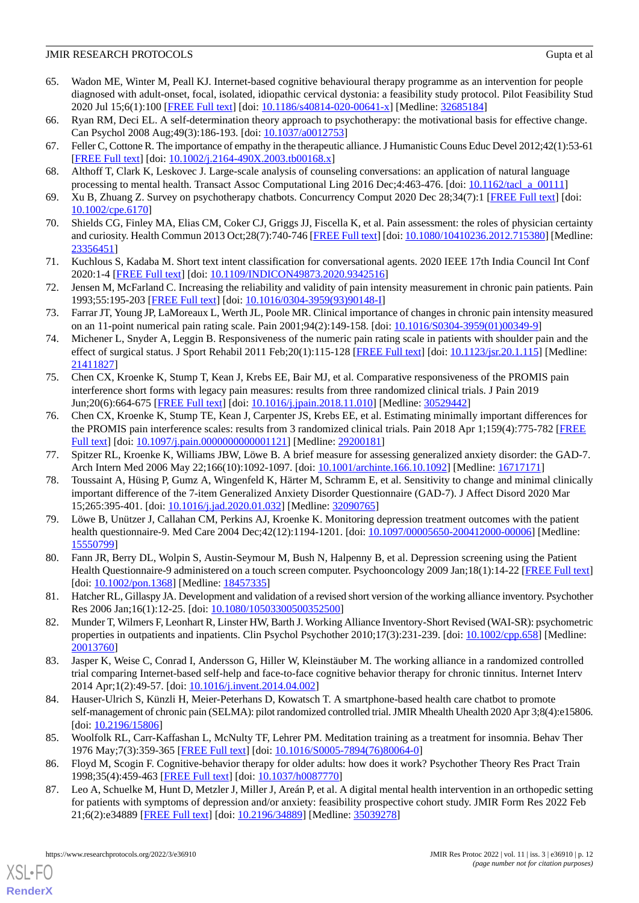- <span id="page-11-0"></span>65. Wadon ME, Winter M, Peall KJ. Internet-based cognitive behavioural therapy programme as an intervention for people diagnosed with adult-onset, focal, isolated, idiopathic cervical dystonia: a feasibility study protocol. Pilot Feasibility Stud 2020 Jul 15;6(1):100 [\[FREE Full text\]](https://pilotfeasibilitystudies.biomedcentral.com/articles/10.1186/s40814-020-00641-x) [doi: [10.1186/s40814-020-00641-x](http://dx.doi.org/10.1186/s40814-020-00641-x)] [Medline: [32685184\]](http://www.ncbi.nlm.nih.gov/entrez/query.fcgi?cmd=Retrieve&db=PubMed&list_uids=32685184&dopt=Abstract)
- <span id="page-11-2"></span><span id="page-11-1"></span>66. Ryan RM, Deci EL. A self-determination theory approach to psychotherapy: the motivational basis for effective change. Can Psychol 2008 Aug; 49(3): 186-193. [doi: [10.1037/a0012753\]](http://dx.doi.org/10.1037/a0012753)
- <span id="page-11-3"></span>67. Feller C, Cottone R. The importance of empathy in the therapeutic alliance. J Humanistic Couns Educ Devel 2012;42(1):53-61 [[FREE Full text](http://paperpile.com/b/lFnvVd/Yc8T)] [doi: [10.1002/j.2164-490X.2003.tb00168.x\]](http://dx.doi.org/10.1002/j.2164-490X.2003.tb00168.x)
- <span id="page-11-4"></span>68. Althoff T, Clark K, Leskovec J. Large-scale analysis of counseling conversations: an application of natural language processing to mental health. Transact Assoc Computational Ling 2016 Dec;4:463-476. [doi: [10.1162/tacl\\_a\\_00111](http://dx.doi.org/10.1162/tacl_a_00111)]
- <span id="page-11-5"></span>69. Xu B, Zhuang Z. Survey on psychotherapy chatbots. Concurrency Comput 2020 Dec 28;34(7):1 [\[FREE Full text\]](http://paperpile.com/b/lFnvVd/cyOL) [doi: [10.1002/cpe.6170](http://dx.doi.org/10.1002/cpe.6170)]
- <span id="page-11-6"></span>70. Shields CG, Finley MA, Elias CM, Coker CJ, Griggs JJ, Fiscella K, et al. Pain assessment: the roles of physician certainty and curiosity. Health Commun 2013 Oct;28(7):740-746 [\[FREE Full text\]](http://europepmc.org/abstract/MED/23356451) [doi: [10.1080/10410236.2012.715380\]](http://dx.doi.org/10.1080/10410236.2012.715380) [Medline: [23356451](http://www.ncbi.nlm.nih.gov/entrez/query.fcgi?cmd=Retrieve&db=PubMed&list_uids=23356451&dopt=Abstract)]
- <span id="page-11-7"></span>71. Kuchlous S, Kadaba M. Short text intent classification for conversational agents. 2020 IEEE 17th India Council Int Conf 2020:1-4 [\[FREE Full text\]](http://paperpile.com/b/lFnvVd/FgrU) [doi: [10.1109/INDICON49873.2020.9342516\]](http://dx.doi.org/10.1109/INDICON49873.2020.9342516)
- <span id="page-11-8"></span>72. Jensen M, McFarland C. Increasing the reliability and validity of pain intensity measurement in chronic pain patients. Pain 1993;55:195-203 [\[FREE Full text\]](http://paperpile.com/b/lFnvVd/rxqZ) [doi: [10.1016/0304-3959\(93\)90148-I\]](http://dx.doi.org/10.1016/0304-3959(93)90148-I)
- <span id="page-11-9"></span>73. Farrar JT, Young JP, LaMoreaux L, Werth JL, Poole MR. Clinical importance of changes in chronic pain intensity measured on an 11-point numerical pain rating scale. Pain 2001;94(2):149-158. [doi: [10.1016/S0304-3959\(01\)00349-9\]](http://dx.doi.org/10.1016/S0304-3959(01)00349-9)
- <span id="page-11-10"></span>74. Michener L, Snyder A, Leggin B. Responsiveness of the numeric pain rating scale in patients with shoulder pain and the effect of surgical status. J Sport Rehabil 2011 Feb;20(1):115-128 [\[FREE Full text\]](http://paperpile.com/b/lFnvVd/QbcG) [doi: [10.1123/jsr.20.1.115](http://dx.doi.org/10.1123/jsr.20.1.115)] [Medline: [21411827](http://www.ncbi.nlm.nih.gov/entrez/query.fcgi?cmd=Retrieve&db=PubMed&list_uids=21411827&dopt=Abstract)]
- <span id="page-11-11"></span>75. Chen CX, Kroenke K, Stump T, Kean J, Krebs EE, Bair MJ, et al. Comparative responsiveness of the PROMIS pain interference short forms with legacy pain measures: results from three randomized clinical trials. J Pain 2019 Jun;20(6):664-675 [[FREE Full text](http://europepmc.org/abstract/MED/30529442)] [doi: [10.1016/j.jpain.2018.11.010\]](http://dx.doi.org/10.1016/j.jpain.2018.11.010) [Medline: [30529442](http://www.ncbi.nlm.nih.gov/entrez/query.fcgi?cmd=Retrieve&db=PubMed&list_uids=30529442&dopt=Abstract)]
- <span id="page-11-13"></span><span id="page-11-12"></span>76. Chen CX, Kroenke K, Stump TE, Kean J, Carpenter JS, Krebs EE, et al. Estimating minimally important differences for the PROMIS pain interference scales: results from 3 randomized clinical trials. Pain 2018 Apr 1;159(4):775-782 [[FREE](http://europepmc.org/abstract/MED/29200181) [Full text\]](http://europepmc.org/abstract/MED/29200181) [doi: [10.1097/j.pain.0000000000001121\]](http://dx.doi.org/10.1097/j.pain.0000000000001121) [Medline: [29200181](http://www.ncbi.nlm.nih.gov/entrez/query.fcgi?cmd=Retrieve&db=PubMed&list_uids=29200181&dopt=Abstract)]
- 77. Spitzer RL, Kroenke K, Williams JBW, Löwe B. A brief measure for assessing generalized anxiety disorder: the GAD-7. Arch Intern Med 2006 May 22;166(10):1092-1097. [doi: [10.1001/archinte.166.10.1092](http://dx.doi.org/10.1001/archinte.166.10.1092)] [Medline: [16717171](http://www.ncbi.nlm.nih.gov/entrez/query.fcgi?cmd=Retrieve&db=PubMed&list_uids=16717171&dopt=Abstract)]
- <span id="page-11-14"></span>78. Toussaint A, Hüsing P, Gumz A, Wingenfeld K, Härter M, Schramm E, et al. Sensitivity to change and minimal clinically important difference of the 7-item Generalized Anxiety Disorder Questionnaire (GAD-7). J Affect Disord 2020 Mar 15;265:395-401. [doi: [10.1016/j.jad.2020.01.032](http://dx.doi.org/10.1016/j.jad.2020.01.032)] [Medline: [32090765\]](http://www.ncbi.nlm.nih.gov/entrez/query.fcgi?cmd=Retrieve&db=PubMed&list_uids=32090765&dopt=Abstract)
- <span id="page-11-16"></span><span id="page-11-15"></span>79. Löwe B, Unützer J, Callahan CM, Perkins AJ, Kroenke K. Monitoring depression treatment outcomes with the patient health questionnaire-9. Med Care 2004 Dec;42(12):1194-1201. [doi: [10.1097/00005650-200412000-00006](http://dx.doi.org/10.1097/00005650-200412000-00006)] [Medline: [15550799](http://www.ncbi.nlm.nih.gov/entrez/query.fcgi?cmd=Retrieve&db=PubMed&list_uids=15550799&dopt=Abstract)]
- <span id="page-11-17"></span>80. Fann JR, Berry DL, Wolpin S, Austin-Seymour M, Bush N, Halpenny B, et al. Depression screening using the Patient Health Questionnaire-9 administered on a touch screen computer. Psychooncology 2009 Jan;18(1):14-22 [[FREE Full text](http://europepmc.org/abstract/MED/18457335)] [doi: [10.1002/pon.1368\]](http://dx.doi.org/10.1002/pon.1368) [Medline: [18457335](http://www.ncbi.nlm.nih.gov/entrez/query.fcgi?cmd=Retrieve&db=PubMed&list_uids=18457335&dopt=Abstract)]
- <span id="page-11-18"></span>81. Hatcher RL, Gillaspy JA. Development and validation of a revised short version of the working alliance inventory. Psychother Res 2006 Jan;16(1):12-25. [doi: [10.1080/10503300500352500](http://dx.doi.org/10.1080/10503300500352500)]
- <span id="page-11-19"></span>82. Munder T, Wilmers F, Leonhart R, Linster HW, Barth J. Working Alliance Inventory-Short Revised (WAI-SR): psychometric properties in outpatients and inpatients. Clin Psychol Psychother 2010;17(3):231-239. [doi: [10.1002/cpp.658\]](http://dx.doi.org/10.1002/cpp.658) [Medline: [20013760](http://www.ncbi.nlm.nih.gov/entrez/query.fcgi?cmd=Retrieve&db=PubMed&list_uids=20013760&dopt=Abstract)]
- <span id="page-11-20"></span>83. Jasper K, Weise C, Conrad I, Andersson G, Hiller W, Kleinstäuber M. The working alliance in a randomized controlled trial comparing Internet-based self-help and face-to-face cognitive behavior therapy for chronic tinnitus. Internet Interv 2014 Apr;1(2):49-57. [doi: [10.1016/j.invent.2014.04.002](http://dx.doi.org/10.1016/j.invent.2014.04.002)]
- <span id="page-11-22"></span><span id="page-11-21"></span>84. Hauser-Ulrich S, Künzli H, Meier-Peterhans D, Kowatsch T. A smartphone-based health care chatbot to promote self-management of chronic pain (SELMA): pilot randomized controlled trial. JMIR Mhealth Uhealth 2020 Apr 3;8(4):e15806. [doi: [10.2196/15806](http://dx.doi.org/10.2196/15806)]
- 85. Woolfolk RL, Carr-Kaffashan L, McNulty TF, Lehrer PM. Meditation training as a treatment for insomnia. Behav Ther 1976 May;7(3):359-365 [[FREE Full text](http://paperpile.com/b/lFnvVd/u4hJ)] [doi: [10.1016/S0005-7894\(76\)80064-0](http://dx.doi.org/10.1016/S0005-7894(76)80064-0)]
- 86. Floyd M, Scogin F. Cognitive-behavior therapy for older adults: how does it work? Psychother Theory Res Pract Train 1998;35(4):459-463 [[FREE Full text](http://paperpile.com/b/lFnvVd/jKeH)] [doi: [10.1037/h0087770\]](http://dx.doi.org/10.1037/h0087770)
- 87. Leo A, Schuelke M, Hunt D, Metzler J, Miller J, Areán P, et al. A digital mental health intervention in an orthopedic setting for patients with symptoms of depression and/or anxiety: feasibility prospective cohort study. JMIR Form Res 2022 Feb 21;6(2):e34889 [\[FREE Full text](https://formative.jmir.org/2022/2/e34889/)] [doi: [10.2196/34889\]](http://dx.doi.org/10.2196/34889) [Medline: [35039278\]](http://www.ncbi.nlm.nih.gov/entrez/query.fcgi?cmd=Retrieve&db=PubMed&list_uids=35039278&dopt=Abstract)

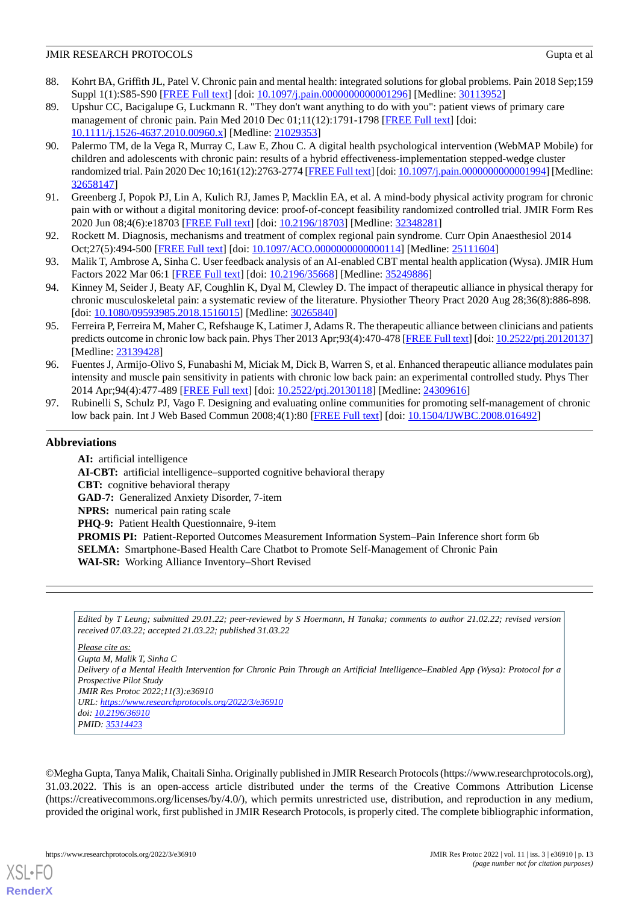- <span id="page-12-0"></span>88. Kohrt BA, Griffith JL, Patel V. Chronic pain and mental health: integrated solutions for global problems. Pain 2018 Sep;159 Suppl 1(1):S85-S90 [\[FREE Full text](http://europepmc.org/abstract/MED/30113952)] [doi: [10.1097/j.pain.0000000000001296](http://dx.doi.org/10.1097/j.pain.0000000000001296)] [Medline: [30113952\]](http://www.ncbi.nlm.nih.gov/entrez/query.fcgi?cmd=Retrieve&db=PubMed&list_uids=30113952&dopt=Abstract)
- <span id="page-12-1"></span>89. Upshur CC, Bacigalupe G, Luckmann R. "They don't want anything to do with you": patient views of primary care management of chronic pain. Pain Med 2010 Dec 01;11(12):1791-1798 [\[FREE Full text\]](http://paperpile.com/b/lFnvVd/bQSF) [doi: [10.1111/j.1526-4637.2010.00960.x\]](http://dx.doi.org/10.1111/j.1526-4637.2010.00960.x) [Medline: [21029353\]](http://www.ncbi.nlm.nih.gov/entrez/query.fcgi?cmd=Retrieve&db=PubMed&list_uids=21029353&dopt=Abstract)
- <span id="page-12-2"></span>90. Palermo TM, de la Vega R, Murray C, Law E, Zhou C. A digital health psychological intervention (WebMAP Mobile) for children and adolescents with chronic pain: results of a hybrid effectiveness-implementation stepped-wedge cluster randomized trial. Pain 2020 Dec 10;161(12):2763-2774 [\[FREE Full text\]](http://europepmc.org/abstract/MED/32658147) [doi: [10.1097/j.pain.0000000000001994\]](http://dx.doi.org/10.1097/j.pain.0000000000001994) [Medline: [32658147](http://www.ncbi.nlm.nih.gov/entrez/query.fcgi?cmd=Retrieve&db=PubMed&list_uids=32658147&dopt=Abstract)]
- <span id="page-12-4"></span><span id="page-12-3"></span>91. Greenberg J, Popok PJ, Lin A, Kulich RJ, James P, Macklin EA, et al. A mind-body physical activity program for chronic pain with or without a digital monitoring device: proof-of-concept feasibility randomized controlled trial. JMIR Form Res 2020 Jun 08;4(6):e18703 [[FREE Full text](https://formative.jmir.org/2020/6/e18703/)] [doi: [10.2196/18703\]](http://dx.doi.org/10.2196/18703) [Medline: [32348281\]](http://www.ncbi.nlm.nih.gov/entrez/query.fcgi?cmd=Retrieve&db=PubMed&list_uids=32348281&dopt=Abstract)
- <span id="page-12-5"></span>92. Rockett M. Diagnosis, mechanisms and treatment of complex regional pain syndrome. Curr Opin Anaesthesiol 2014 Oct;27(5):494-500 [\[FREE Full text\]](https://www.vive.com/us/) [doi: [10.1097/ACO.0000000000000114\]](http://dx.doi.org/10.1097/ACO.0000000000000114) [Medline: [25111604](http://www.ncbi.nlm.nih.gov/entrez/query.fcgi?cmd=Retrieve&db=PubMed&list_uids=25111604&dopt=Abstract)]
- <span id="page-12-6"></span>93. Malik T, Ambrose A, Sinha C. User feedback analysis of an AI-enabled CBT mental health application (Wysa). JMIR Hum Factors 2022 Mar 06:1 [[FREE Full text](https://doi.org/10.2196/35668)] [doi: [10.2196/35668\]](http://dx.doi.org/10.2196/35668) [Medline: [35249886](http://www.ncbi.nlm.nih.gov/entrez/query.fcgi?cmd=Retrieve&db=PubMed&list_uids=35249886&dopt=Abstract)]
- <span id="page-12-7"></span>94. Kinney M, Seider J, Beaty AF, Coughlin K, Dyal M, Clewley D. The impact of therapeutic alliance in physical therapy for chronic musculoskeletal pain: a systematic review of the literature. Physiother Theory Pract 2020 Aug 28;36(8):886-898. [doi: [10.1080/09593985.2018.1516015](http://dx.doi.org/10.1080/09593985.2018.1516015)] [Medline: [30265840\]](http://www.ncbi.nlm.nih.gov/entrez/query.fcgi?cmd=Retrieve&db=PubMed&list_uids=30265840&dopt=Abstract)
- <span id="page-12-8"></span>95. Ferreira P, Ferreira M, Maher C, Refshauge K, Latimer J, Adams R. The therapeutic alliance between clinicians and patients predicts outcome in chronic low back pain. Phys Ther 2013 Apr;93(4):470-478 [\[FREE Full text\]](http://paperpile.com/b/lFnvVd/wzd4) [doi: [10.2522/ptj.20120137](http://dx.doi.org/10.2522/ptj.20120137)] [Medline: [23139428](http://www.ncbi.nlm.nih.gov/entrez/query.fcgi?cmd=Retrieve&db=PubMed&list_uids=23139428&dopt=Abstract)]
- <span id="page-12-9"></span>96. Fuentes J, Armijo-Olivo S, Funabashi M, Miciak M, Dick B, Warren S, et al. Enhanced therapeutic alliance modulates pain intensity and muscle pain sensitivity in patients with chronic low back pain: an experimental controlled study. Phys Ther 2014 Apr;94(4):477-489 [[FREE Full text](http://paperpile.com/b/lFnvVd/waR1)] [doi: [10.2522/ptj.20130118\]](http://dx.doi.org/10.2522/ptj.20130118) [Medline: [24309616\]](http://www.ncbi.nlm.nih.gov/entrez/query.fcgi?cmd=Retrieve&db=PubMed&list_uids=24309616&dopt=Abstract)
- 97. Rubinelli S, Schulz PJ, Vago F. Designing and evaluating online communities for promoting self-management of chronic low back pain. Int J Web Based Commun 2008;4(1):80 [[FREE Full text](http://paperpile.com/b/lFnvVd/jNJe)] [doi: [10.1504/IJWBC.2008.016492\]](http://dx.doi.org/10.1504/IJWBC.2008.016492)

# **Abbreviations**

**AI:** artificial intelligence **AI-CBT:** artificial intelligence–supported cognitive behavioral therapy **CBT:** cognitive behavioral therapy **GAD-7:** Generalized Anxiety Disorder, 7-item **NPRS:** numerical pain rating scale **PHQ-9:** Patient Health Questionnaire, 9-item **PROMIS PI:** Patient-Reported Outcomes Measurement Information System–Pain Inference short form 6b **SELMA:** Smartphone-Based Health Care Chatbot to Promote Self-Management of Chronic Pain **WAI-SR:** Working Alliance Inventory–Short Revised

*Edited by T Leung; submitted 29.01.22; peer-reviewed by S Hoermann, H Tanaka; comments to author 21.02.22; revised version received 07.03.22; accepted 21.03.22; published 31.03.22*

#### *Please cite as:*

*Gupta M, Malik T, Sinha C Delivery of a Mental Health Intervention for Chronic Pain Through an Artificial Intelligence–Enabled App (Wysa): Protocol for a Prospective Pilot Study JMIR Res Protoc 2022;11(3):e36910 URL: <https://www.researchprotocols.org/2022/3/e36910> doi: [10.2196/36910](http://dx.doi.org/10.2196/36910) PMID: [35314423](http://www.ncbi.nlm.nih.gov/entrez/query.fcgi?cmd=Retrieve&db=PubMed&list_uids=35314423&dopt=Abstract)*

©Megha Gupta, Tanya Malik, Chaitali Sinha. Originally published in JMIR Research Protocols (https://www.researchprotocols.org), 31.03.2022. This is an open-access article distributed under the terms of the Creative Commons Attribution License (https://creativecommons.org/licenses/by/4.0/), which permits unrestricted use, distribution, and reproduction in any medium, provided the original work, first published in JMIR Research Protocols, is properly cited. The complete bibliographic information,